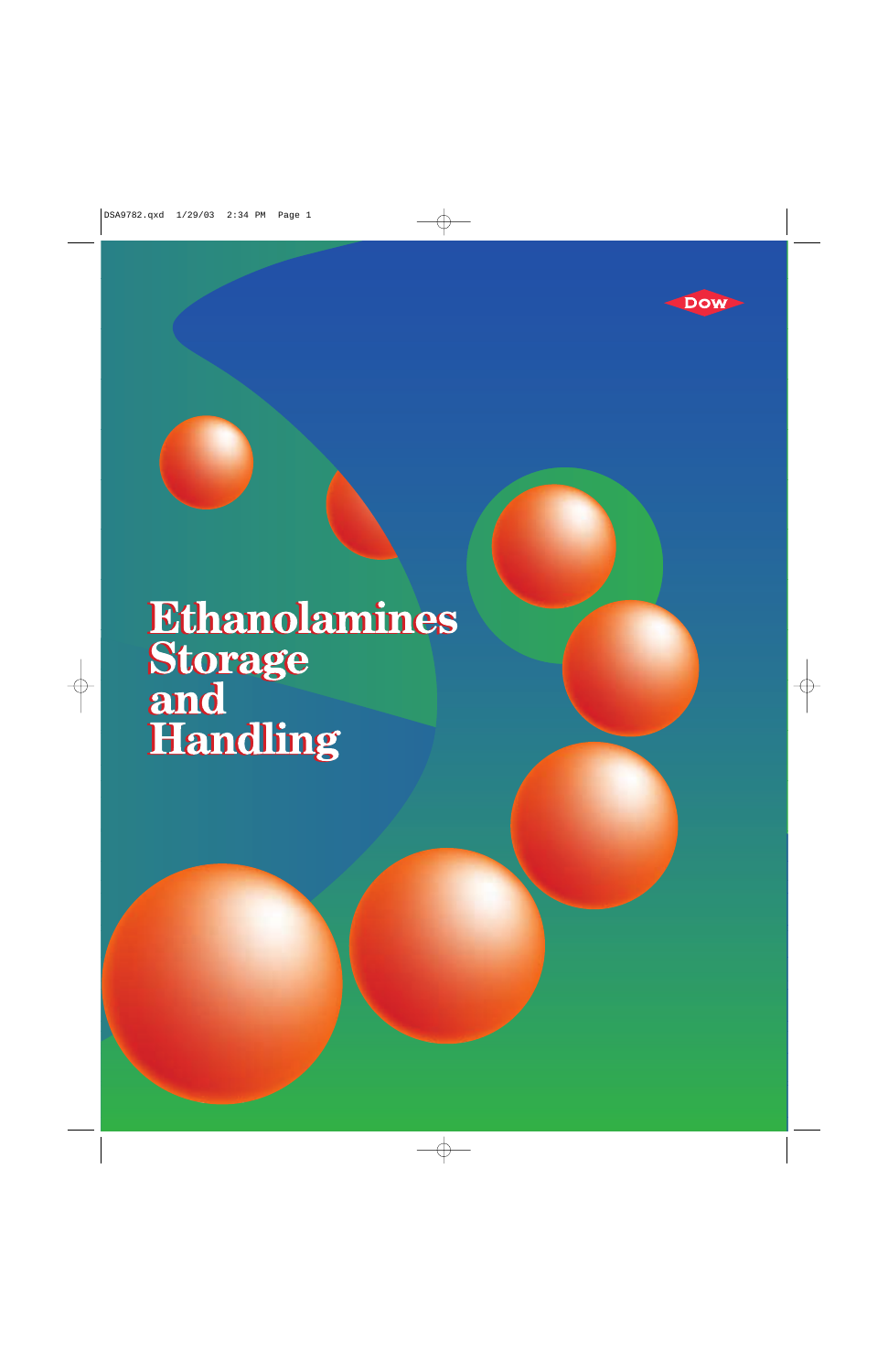

# **Ethanolamines<br>Storage<br>and<br>Handling**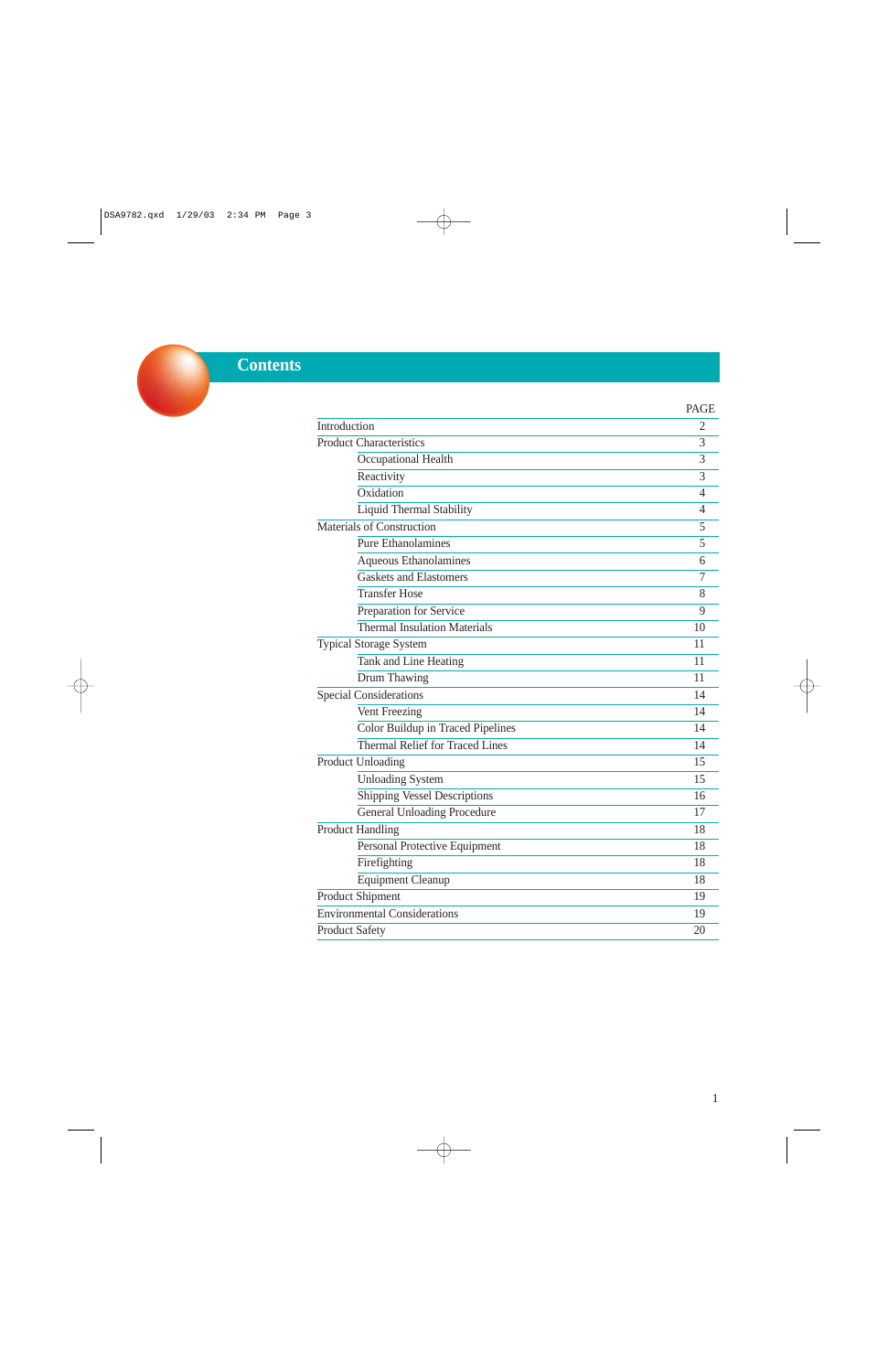# **Contents**

|                                        | <b>PAGE</b>    |
|----------------------------------------|----------------|
| Introduction                           | 2              |
| <b>Product Characteristics</b>         | 3              |
| Occupational Health                    | 3              |
| Reactivity                             | $\overline{3}$ |
| Oxidation                              | 4              |
| <b>Liquid Thermal Stability</b>        | 4              |
| <b>Materials of Construction</b>       | 5              |
| <b>Pure Ethanolamines</b>              | 5              |
| Aqueous Ethanolamines                  | 6              |
| <b>Gaskets and Elastomers</b>          | 7              |
| <b>Transfer Hose</b>                   | 8              |
| Preparation for Service                | 9              |
| <b>Thermal Insulation Materials</b>    | 10             |
| <b>Typical Storage System</b>          | 11             |
| Tank and Line Heating                  | 11             |
| Drum Thawing                           | 11             |
| <b>Special Considerations</b>          | 14             |
| Vent Freezing                          | 14             |
| Color Buildup in Traced Pipelines      | 14             |
| <b>Thermal Relief for Traced Lines</b> | 14             |
| Product Unloading                      | 15             |
| <b>Unloading System</b>                | 15             |
| <b>Shipping Vessel Descriptions</b>    | 16             |
| <b>General Unloading Procedure</b>     | 17             |
| <b>Product Handling</b>                | 18             |
| Personal Protective Equipment          | 18             |
| Firefighting                           | 18             |
| <b>Equipment Cleanup</b>               | 18             |
| <b>Product Shipment</b>                | 19             |
| <b>Environmental Considerations</b>    | 19             |
| <b>Product Safety</b>                  | 20             |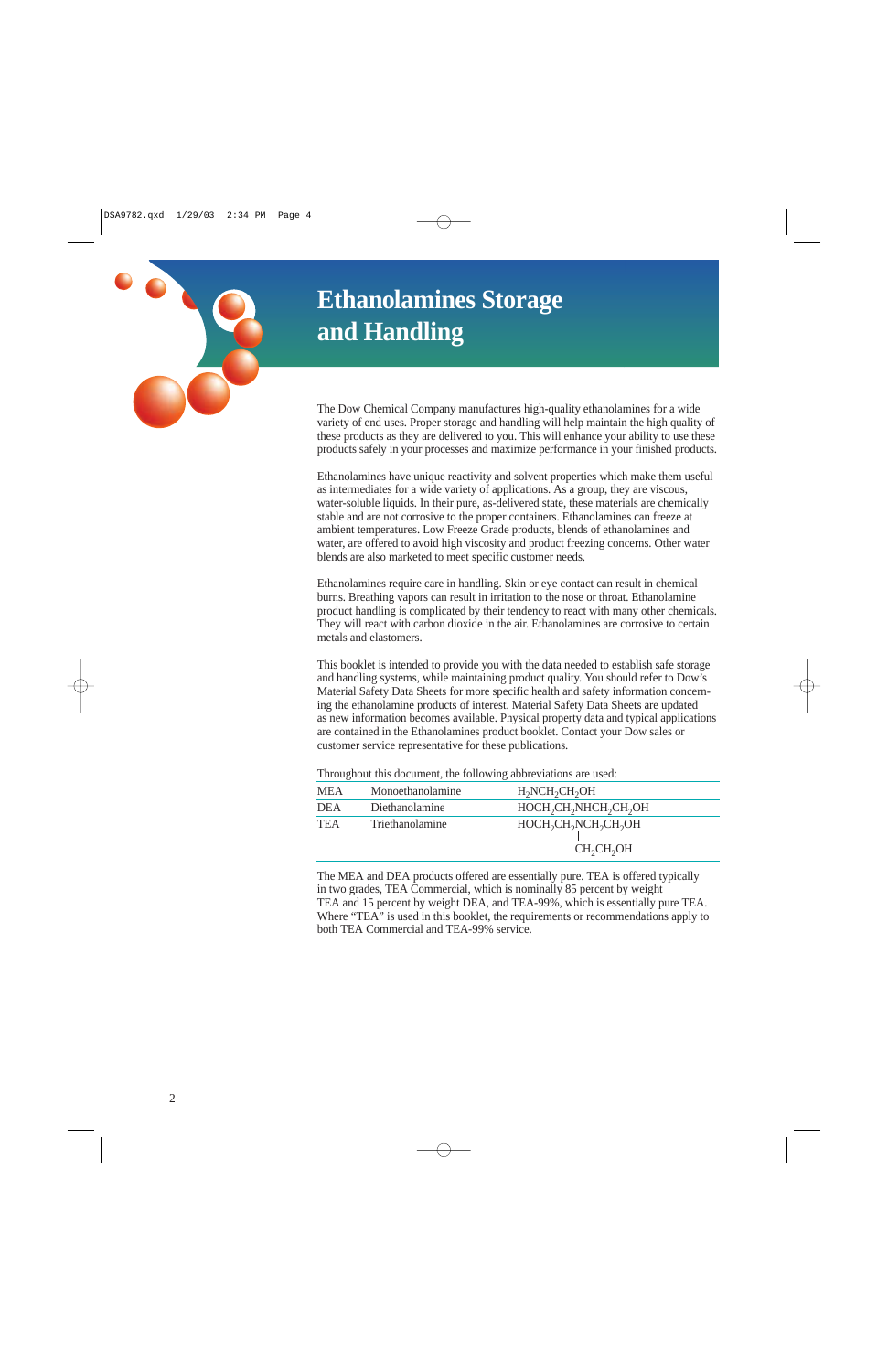# **Ethanolamines Storage and Handling**

The Dow Chemical Company manufactures high-quality ethanolamines for a wide variety of end uses. Proper storage and handling will help maintain the high quality of these products as they are delivered to you. This will enhance your ability to use these products safely in your processes and maximize performance in your finished products.

Ethanolamines have unique reactivity and solvent properties which make them useful as intermediates for a wide variety of applications. As a group, they are viscous, water-soluble liquids. In their pure, as-delivered state, these materials are chemically stable and are not corrosive to the proper containers. Ethanolamines can freeze at ambient temperatures. Low Freeze Grade products, blends of ethanolamines and water, are offered to avoid high viscosity and product freezing concerns. Other water blends are also marketed to meet specific customer needs.

Ethanolamines require care in handling. Skin or eye contact can result in chemical burns. Breathing vapors can result in irritation to the nose or throat. Ethanolamine product handling is complicated by their tendency to react with many other chemicals. They will react with carbon dioxide in the air. Ethanolamines are corrosive to certain metals and elastomers.

This booklet is intended to provide you with the data needed to establish safe storage and handling systems, while maintaining product quality. You should refer to Dow's Material Safety Data Sheets for more specific health and safety information concerning the ethanolamine products of interest. Material Safety Data Sheets are updated as new information becomes available. Physical property data and typical applications are contained in the Ethanolamines product booklet. Contact your Dow sales or customer service representative for these publications.

| Throughout this document, the following aboreviations are used: |                  |                                                                                                             |  |  |
|-----------------------------------------------------------------|------------------|-------------------------------------------------------------------------------------------------------------|--|--|
| <b>MEA</b>                                                      | Monoethanolamine | $H2NCH2CH2OH$                                                                                               |  |  |
| <b>DEA</b>                                                      | Diethanolamine   | HOCH <sub>2</sub> CH <sub>2</sub> NHCH <sub>2</sub> CH <sub>2</sub> OH                                      |  |  |
| <b>TEA</b>                                                      | Triethanolamine  | HOCH <sub>2</sub> CH <sub>2</sub> NCH <sub>2</sub> CH <sub>2</sub> OH<br>CH <sub>2</sub> CH <sub>2</sub> OH |  |  |

Throughout this document, the following abbreviations are used:

The MEA and DEA products offered are essentially pure. TEA is offered typically in two grades, TEA Commercial, which is nominally 85 percent by weight TEA and 15 percent by weight DEA, and TEA-99%, which is essentially pure TEA. Where "TEA" is used in this booklet, the requirements or recommendations apply to both TEA Commercial and TEA-99% service.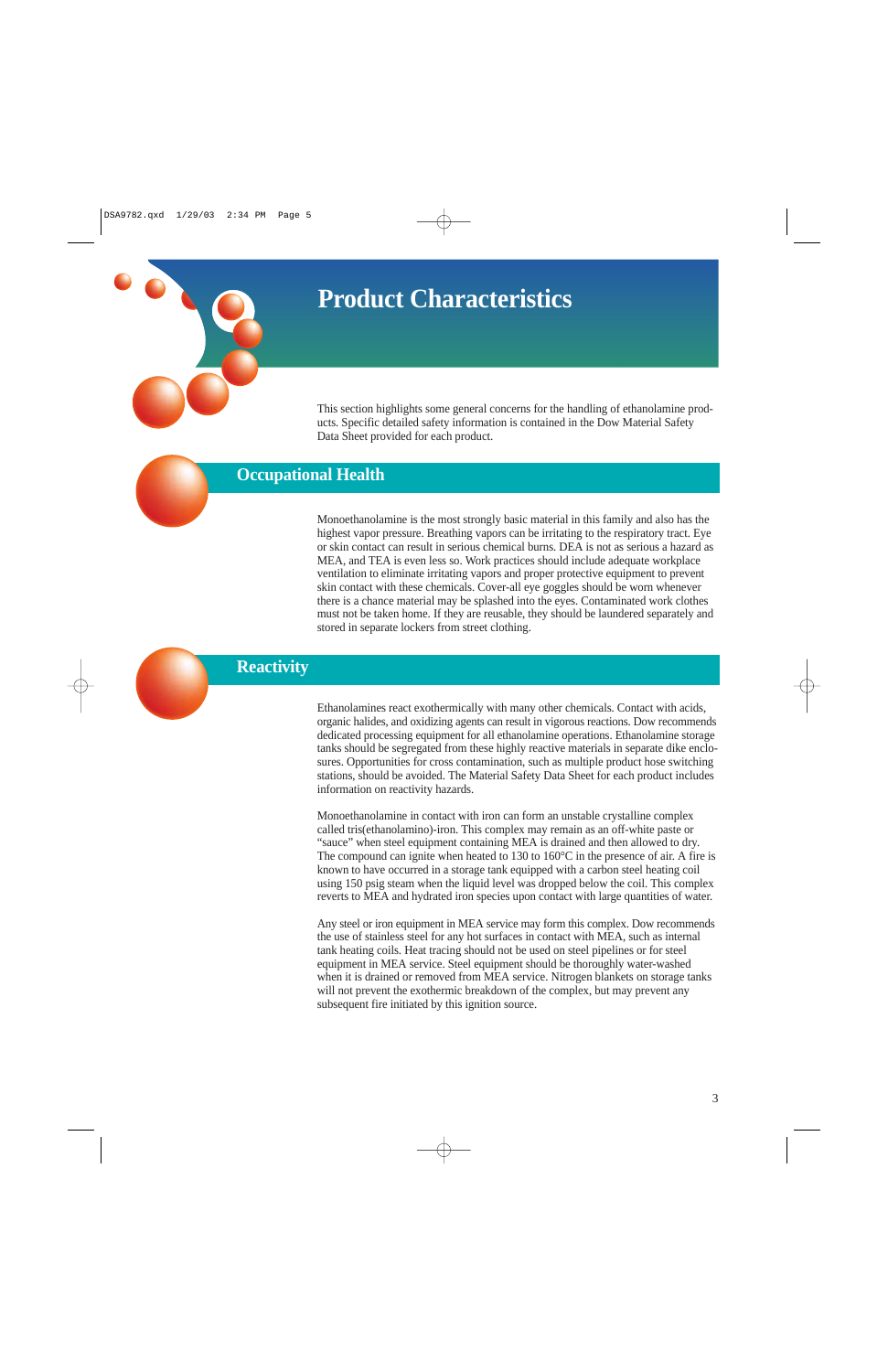# **Product Characteristics**

This section highlights some general concerns for the handling of ethanolamine products. Specific detailed safety information is contained in the Dow Material Safety Data Sheet provided for each product.

# **Occupational Health**

Monoethanolamine is the most strongly basic material in this family and also has the highest vapor pressure. Breathing vapors can be irritating to the respiratory tract. Eye or skin contact can result in serious chemical burns. DEA is not as serious a hazard as MEA, and TEA is even less so. Work practices should include adequate workplace ventilation to eliminate irritating vapors and proper protective equipment to prevent skin contact with these chemicals. Cover-all eye goggles should be worn whenever there is a chance material may be splashed into the eyes. Contaminated work clothes must not be taken home. If they are reusable, they should be laundered separately and stored in separate lockers from street clothing.

### **Reactivity**

Ethanolamines react exothermically with many other chemicals. Contact with acids, organic halides, and oxidizing agents can result in vigorous reactions. Dow recommends dedicated processing equipment for all ethanolamine operations. Ethanolamine storage tanks should be segregated from these highly reactive materials in separate dike enclosures. Opportunities for cross contamination, such as multiple product hose switching stations, should be avoided. The Material Safety Data Sheet for each product includes information on reactivity hazards.

Monoethanolamine in contact with iron can form an unstable crystalline complex called tris(ethanolamino)-iron. This complex may remain as an off-white paste or "sauce" when steel equipment containing MEA is drained and then allowed to dry. The compound can ignite when heated to 130 to 160°C in the presence of air. A fire is known to have occurred in a storage tank equipped with a carbon steel heating coil using 150 psig steam when the liquid level was dropped below the coil. This complex reverts to MEA and hydrated iron species upon contact with large quantities of water.

Any steel or iron equipment in MEA service may form this complex. Dow recommends the use of stainless steel for any hot surfaces in contact with MEA, such as internal tank heating coils. Heat tracing should not be used on steel pipelines or for steel equipment in MEA service. Steel equipment should be thoroughly water-washed when it is drained or removed from MEA service. Nitrogen blankets on storage tanks will not prevent the exothermic breakdown of the complex, but may prevent any subsequent fire initiated by this ignition source.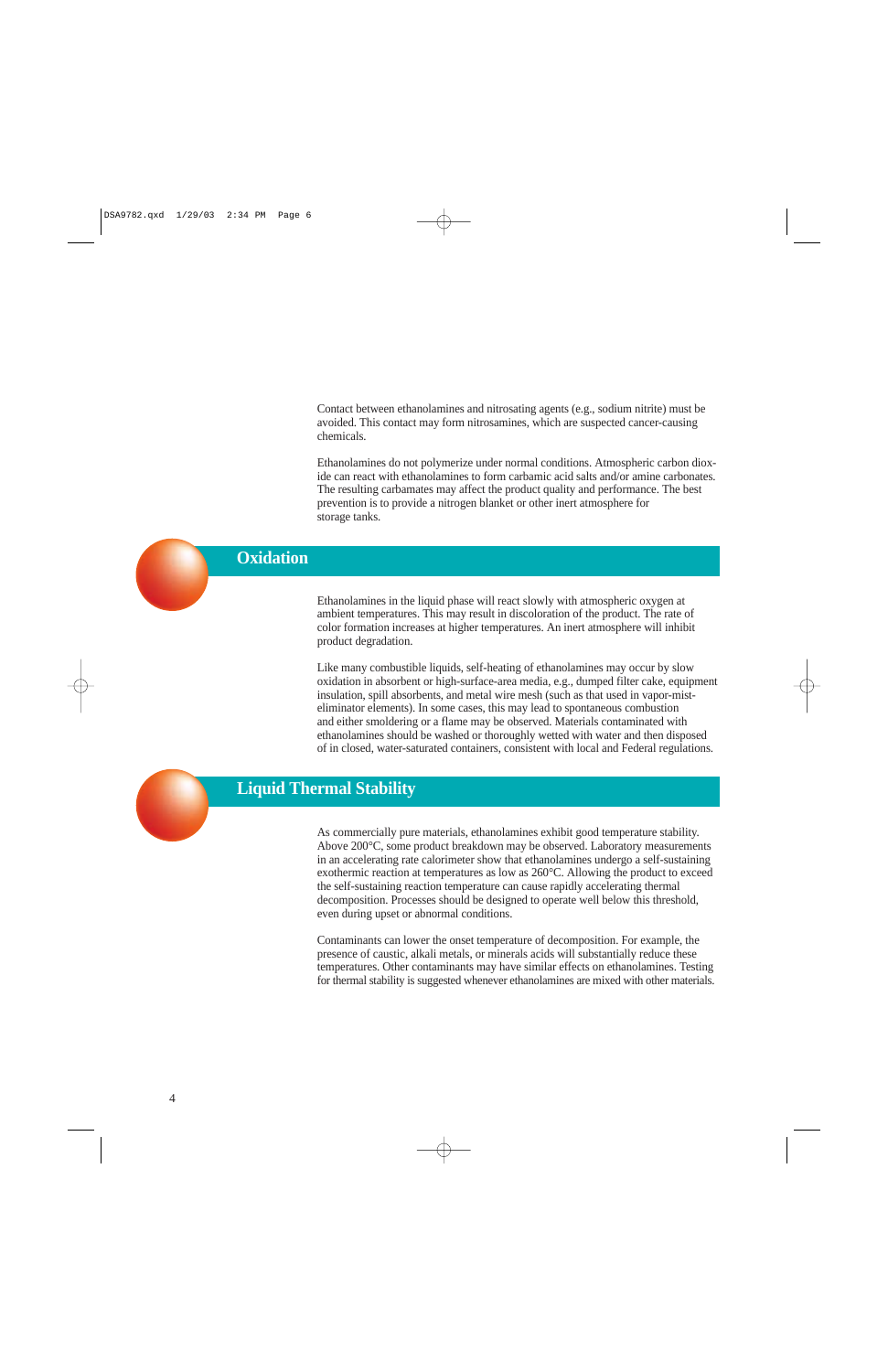Contact between ethanolamines and nitrosating agents (e.g., sodium nitrite) must be avoided. This contact may form nitrosamines, which are suspected cancer-causing chemicals.

Ethanolamines do not polymerize under normal conditions. Atmospheric carbon dioxide can react with ethanolamines to form carbamic acid salts and/or amine carbonates. The resulting carbamates may affect the product quality and performance. The best prevention is to provide a nitrogen blanket or other inert atmosphere for storage tanks.

## **Oxidation**

Ethanolamines in the liquid phase will react slowly with atmospheric oxygen at ambient temperatures. This may result in discoloration of the product. The rate of color formation increases at higher temperatures. An inert atmosphere will inhibit product degradation.

Like many combustible liquids, self-heating of ethanolamines may occur by slow oxidation in absorbent or high-surface-area media, e.g., dumped filter cake, equipment insulation, spill absorbents, and metal wire mesh (such as that used in vapor-misteliminator elements). In some cases, this may lead to spontaneous combustion and either smoldering or a flame may be observed. Materials contaminated with ethanolamines should be washed or thoroughly wetted with water and then disposed of in closed, water-saturated containers, consistent with local and Federal regulations.



## **Liquid Thermal Stability**

As commercially pure materials, ethanolamines exhibit good temperature stability. Above 200°C, some product breakdown may be observed. Laboratory measurements in an accelerating rate calorimeter show that ethanolamines undergo a self-sustaining exothermic reaction at temperatures as low as 260°C. Allowing the product to exceed the self-sustaining reaction temperature can cause rapidly accelerating thermal decomposition. Processes should be designed to operate well below this threshold, even during upset or abnormal conditions.

Contaminants can lower the onset temperature of decomposition. For example, the presence of caustic, alkali metals, or minerals acids will substantially reduce these temperatures. Other contaminants may have similar effects on ethanolamines. Testing for thermal stability is suggested whenever ethanolamines are mixed with other materials.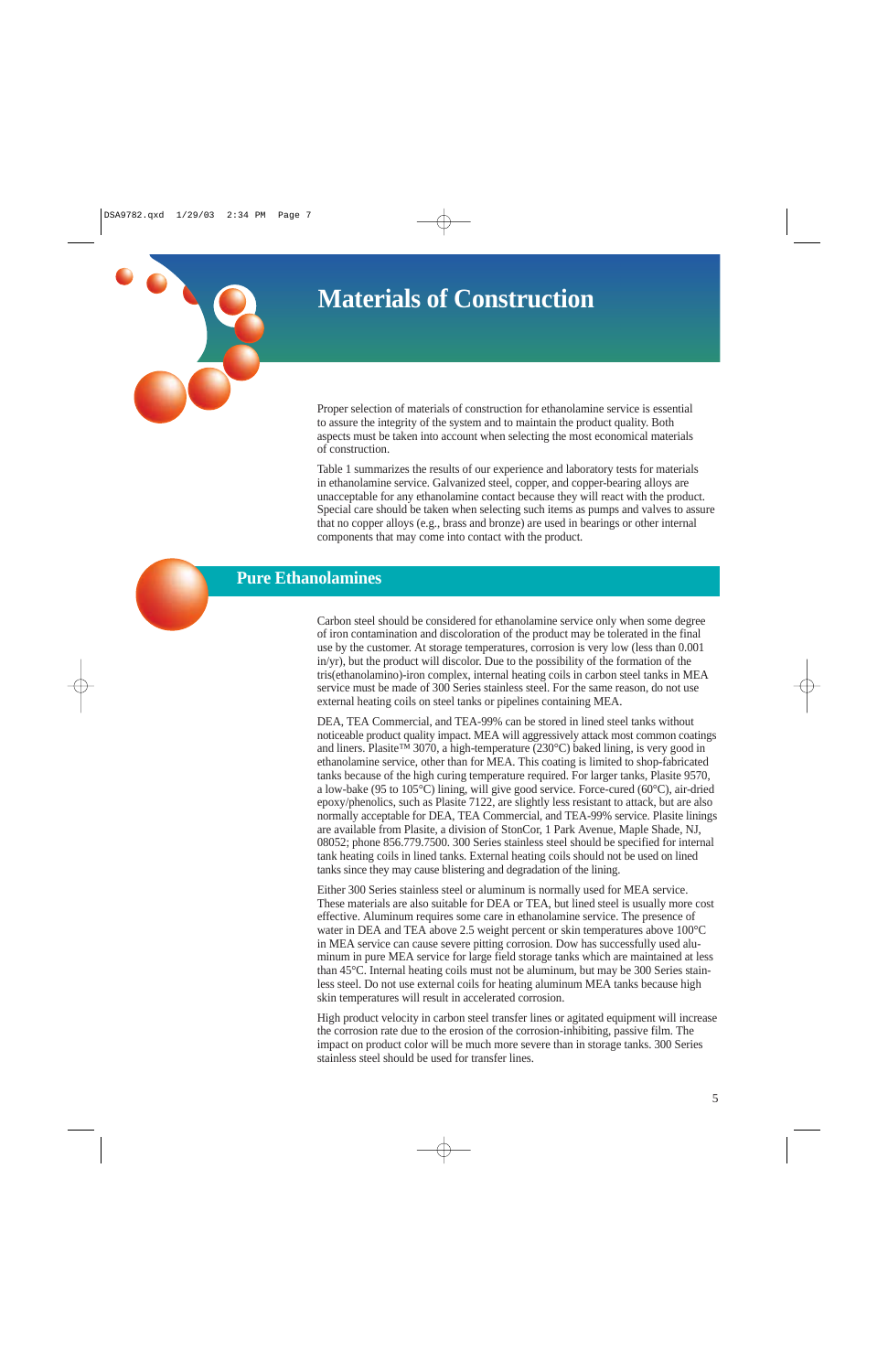# **Materials of Construction**



Proper selection of materials of construction for ethanolamine service is essential to assure the integrity of the system and to maintain the product quality. Both aspects must be taken into account when selecting the most economical materials of construction.

Table 1 summarizes the results of our experience and laboratory tests for materials in ethanolamine service. Galvanized steel, copper, and copper-bearing alloys are unacceptable for any ethanolamine contact because they will react with the product. Special care should be taken when selecting such items as pumps and valves to assure that no copper alloys (e.g., brass and bronze) are used in bearings or other internal components that may come into contact with the product.



Carbon steel should be considered for ethanolamine service only when some degree of iron contamination and discoloration of the product may be tolerated in the final use by the customer. At storage temperatures, corrosion is very low (less than 0.001 in/yr), but the product will discolor. Due to the possibility of the formation of the tris(ethanolamino)-iron complex, internal heating coils in carbon steel tanks in MEA service must be made of 300 Series stainless steel. For the same reason, do not use external heating coils on steel tanks or pipelines containing MEA.

DEA, TEA Commercial, and TEA-99% can be stored in lined steel tanks without noticeable product quality impact. MEA will aggressively attack most common coatings and liners. Plasite™ 3070, a high-temperature (230°C) baked lining, is very good in ethanolamine service, other than for MEA. This coating is limited to shop-fabricated tanks because of the high curing temperature required. For larger tanks, Plasite 9570, a low-bake (95 to 105°C) lining, will give good service. Force-cured (60°C), air-dried epoxy/phenolics, such as Plasite 7122, are slightly less resistant to attack, but are also normally acceptable for DEA, TEA Commercial, and TEA-99% service. Plasite linings are available from Plasite, a division of StonCor, 1 Park Avenue, Maple Shade, NJ, 08052; phone 856.779.7500. 300 Series stainless steel should be specified for internal tank heating coils in lined tanks. External heating coils should not be used on lined tanks since they may cause blistering and degradation of the lining.

Either 300 Series stainless steel or aluminum is normally used for MEA service. These materials are also suitable for DEA or TEA, but lined steel is usually more cost effective. Aluminum requires some care in ethanolamine service. The presence of water in DEA and TEA above 2.5 weight percent or skin temperatures above 100°C in MEA service can cause severe pitting corrosion. Dow has successfully used aluminum in pure MEA service for large field storage tanks which are maintained at less than 45°C. Internal heating coils must not be aluminum, but may be 300 Series stainless steel. Do not use external coils for heating aluminum MEA tanks because high skin temperatures will result in accelerated corrosion.

High product velocity in carbon steel transfer lines or agitated equipment will increase the corrosion rate due to the erosion of the corrosion-inhibiting, passive film. The impact on product color will be much more severe than in storage tanks. 300 Series stainless steel should be used for transfer lines.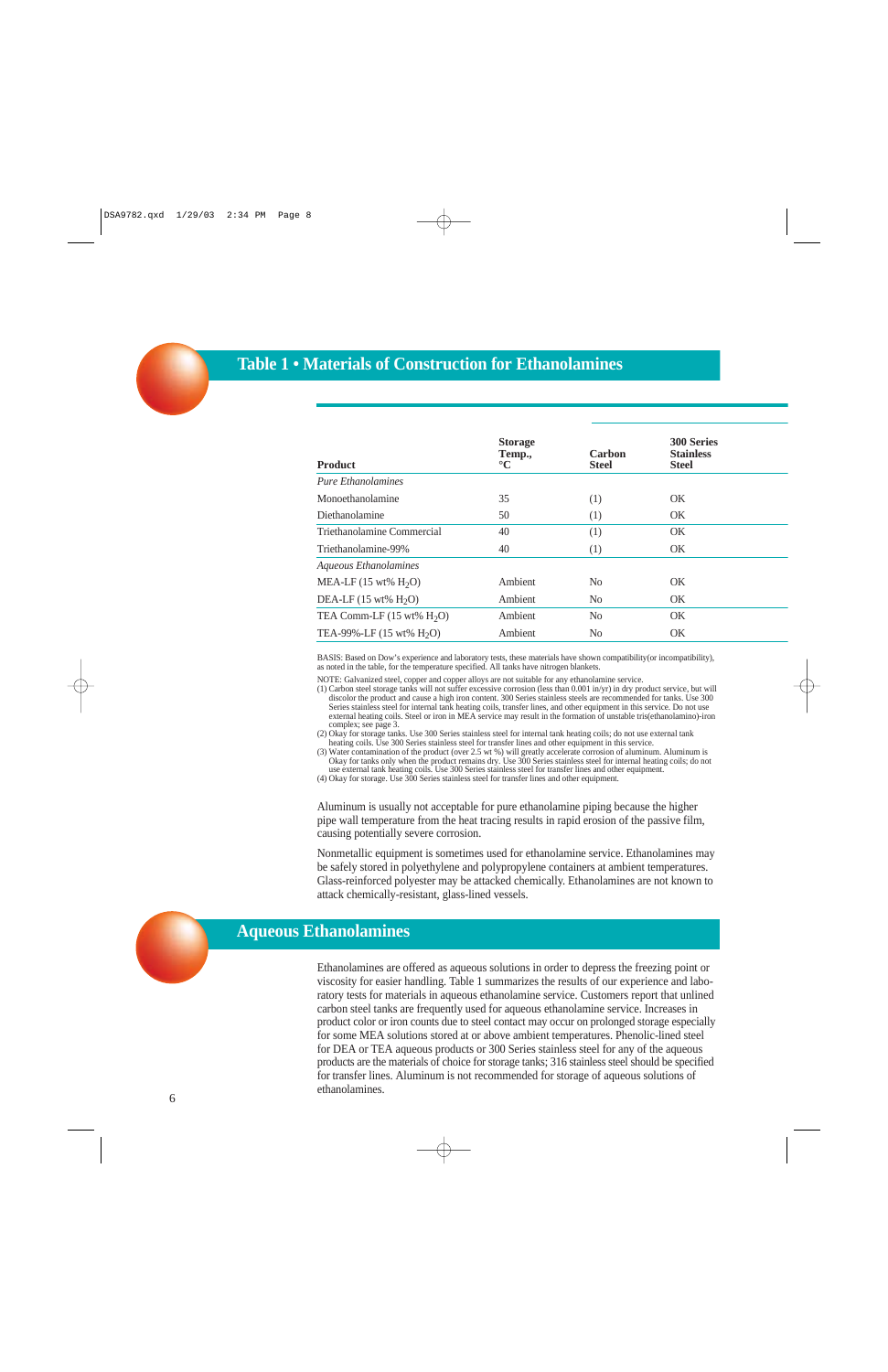# **Table 1 • Materials of Construction for Ethanolamines**

| <b>Storage</b><br>Temp.,<br>$\rm ^{\circ}C$ | Carbon<br><b>Steel</b> | <b>300 Series</b><br><b>Stainless</b><br><b>Steel</b> |
|---------------------------------------------|------------------------|-------------------------------------------------------|
|                                             |                        |                                                       |
| 35                                          | (1)                    | OK                                                    |
| 50                                          | (1)                    | OK.                                                   |
| 40                                          | (1)                    | OK                                                    |
| 40                                          | (1)                    | <b>OK</b>                                             |
|                                             |                        |                                                       |
| Ambient                                     | N <sub>0</sub>         | <b>OK</b>                                             |
| Ambient                                     | N <sub>0</sub>         | OK.                                                   |
| Ambient                                     | No                     | OK.                                                   |
| Ambient                                     | N <sub>0</sub>         | <b>OK</b>                                             |
|                                             |                        |                                                       |

BASIS: Based on Dow's experience and laboratory tests, these materials have shown compatibility(or incompatibility), as noted in the table, for the temperature specified. All tanks have nitrogen blankets.

NOTE: Galvanized steel, copper and copper alloys are not suitable for any ethanolamine service.

(1) Carbon steel storage tanks will not suffer excessive corrosion (less than 0.001 in/yr) in dry product service, but will discolor the product and cause a high iron content. 300 Series stainless steels are recommended for tanks. Use 300 Series stainless steel for internal tank heating coils, transfer lines, and other equipment in this service. Do not use external heating coils. Steel or iron in MEA service may result in the formation of unstable tris(ethanolamino)-iron complex; see page 3.

(2) Okay for storage tanks. Use 300 Series stainless steel for internal tank heating coils; do not use external tank heating coils. Use 300 Series stainless steel for transfer lines and other equipment in this service.

(3) Water contamination of the product (over 2.5 wt %) will greatly accelerate corrosion of aluminum. Aluminum is Okay for tanks only when the product remains dry. Use 300 Series stainless steel for internal heating coils; do not use external tank heating coils. Use 300 Series stainless steel for transfer lines and other equipment.

(4) Okay for storage. Use 300 Series stainless steel for transfer lines and other equipment.

Aluminum is usually not acceptable for pure ethanolamine piping because the higher pipe wall temperature from the heat tracing results in rapid erosion of the passive film, causing potentially severe corrosion.

Nonmetallic equipment is sometimes used for ethanolamine service. Ethanolamines may be safely stored in polyethylene and polypropylene containers at ambient temperatures. Glass-reinforced polyester may be attacked chemically. Ethanolamines are not known to attack chemically-resistant, glass-lined vessels.

# **Aqueous Ethanolamines**

Ethanolamines are offered as aqueous solutions in order to depress the freezing point or viscosity for easier handling. Table 1 summarizes the results of our experience and laboratory tests for materials in aqueous ethanolamine service. Customers report that unlined carbon steel tanks are frequently used for aqueous ethanolamine service. Increases in product color or iron counts due to steel contact may occur on prolonged storage especially for some MEA solutions stored at or above ambient temperatures. Phenolic-lined steel for DEA or TEA aqueous products or 300 Series stainless steel for any of the aqueous products are the materials of choice for storage tanks; 316 stainless steel should be specified for transfer lines. Aluminum is not recommended for storage of aqueous solutions of ethanolamines.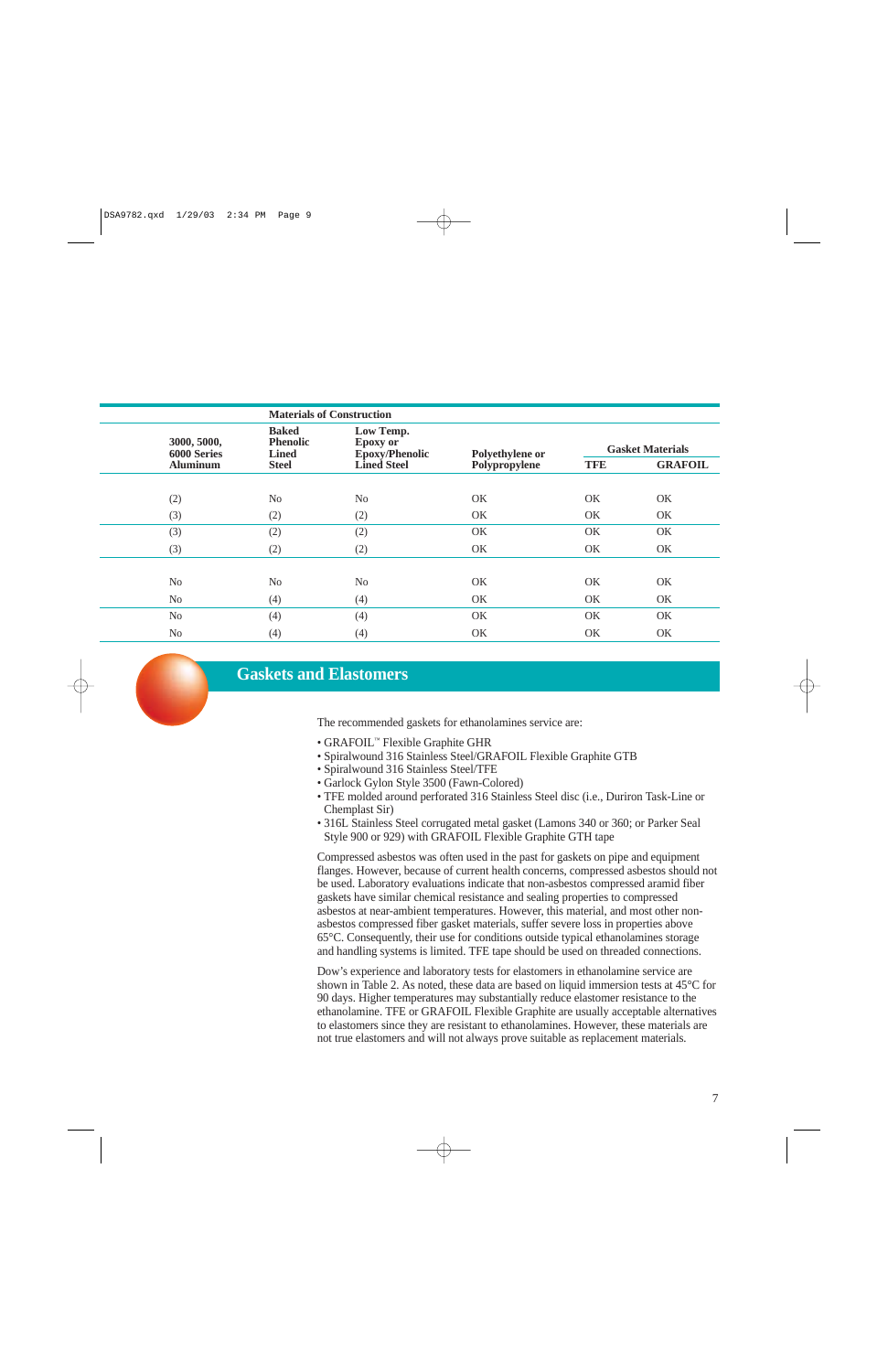|                                                                                                                                                    | <b>Materials of Construction</b> |                         |               |            |                |
|----------------------------------------------------------------------------------------------------------------------------------------------------|----------------------------------|-------------------------|---------------|------------|----------------|
| <b>Baked</b><br>Low Temp.<br>3000, 5000,<br><b>Phenolic</b><br><b>Epoxy</b> or<br>6000 Series<br>Epoxy/Phenolic<br><b>Lined</b><br>Polyethylene or |                                  | <b>Gasket Materials</b> |               |            |                |
| <b>Aluminum</b>                                                                                                                                    | <b>Steel</b>                     | <b>Lined Steel</b>      | Polypropylene | <b>TFE</b> | <b>GRAFOIL</b> |
|                                                                                                                                                    |                                  |                         |               |            |                |
| (2)                                                                                                                                                | No                               | N <sub>o</sub>          | <b>OK</b>     | OK         | OK             |
| (3)                                                                                                                                                | (2)                              | (2)                     | OK.           | OK.        | OK             |
| (3)                                                                                                                                                | (2)                              | (2)                     | <b>OK</b>     | OK         | OK             |
| (3)                                                                                                                                                | (2)                              | (2)                     | OK.           | OK.        | OK             |
|                                                                                                                                                    |                                  |                         |               |            |                |
| N <sub>0</sub>                                                                                                                                     | No                               | No                      | <b>OK</b>     | OK         | OK             |
| N <sub>o</sub>                                                                                                                                     | (4)                              | (4)                     | OK.           | OK.        | OK             |
| N <sub>0</sub>                                                                                                                                     | (4)                              | (4)                     | OK            | OK         | OK             |
| N <sub>0</sub>                                                                                                                                     | (4)                              | (4)                     | <b>OK</b>     | <b>OK</b>  | OK             |

## **Gaskets and Elastomers**

The recommended gaskets for ethanolamines service are:

- GRAFOIL™ Flexible Graphite GHR
- Spiralwound 316 Stainless Steel/GRAFOIL Flexible Graphite GTB
- Spiralwound 316 Stainless Steel/TFE
- Garlock Gylon Style 3500 (Fawn-Colored)
- TFE molded around perforated 316 Stainless Steel disc (i.e., Duriron Task-Line or Chemplast Sir)
- 316L Stainless Steel corrugated metal gasket (Lamons 340 or 360; or Parker Seal Style 900 or 929) with GRAFOIL Flexible Graphite GTH tape

Compressed asbestos was often used in the past for gaskets on pipe and equipment flanges. However, because of current health concerns, compressed asbestos should not be used. Laboratory evaluations indicate that non-asbestos compressed aramid fiber gaskets have similar chemical resistance and sealing properties to compressed asbestos at near-ambient temperatures. However, this material, and most other nonasbestos compressed fiber gasket materials, suffer severe loss in properties above 65°C. Consequently, their use for conditions outside typical ethanolamines storage and handling systems is limited. TFE tape should be used on threaded connections.

Dow's experience and laboratory tests for elastomers in ethanolamine service are shown in Table 2. As noted, these data are based on liquid immersion tests at 45°C for 90 days. Higher temperatures may substantially reduce elastomer resistance to the ethanolamine. TFE or GRAFOIL Flexible Graphite are usually acceptable alternatives to elastomers since they are resistant to ethanolamines. However, these materials are not true elastomers and will not always prove suitable as replacement materials.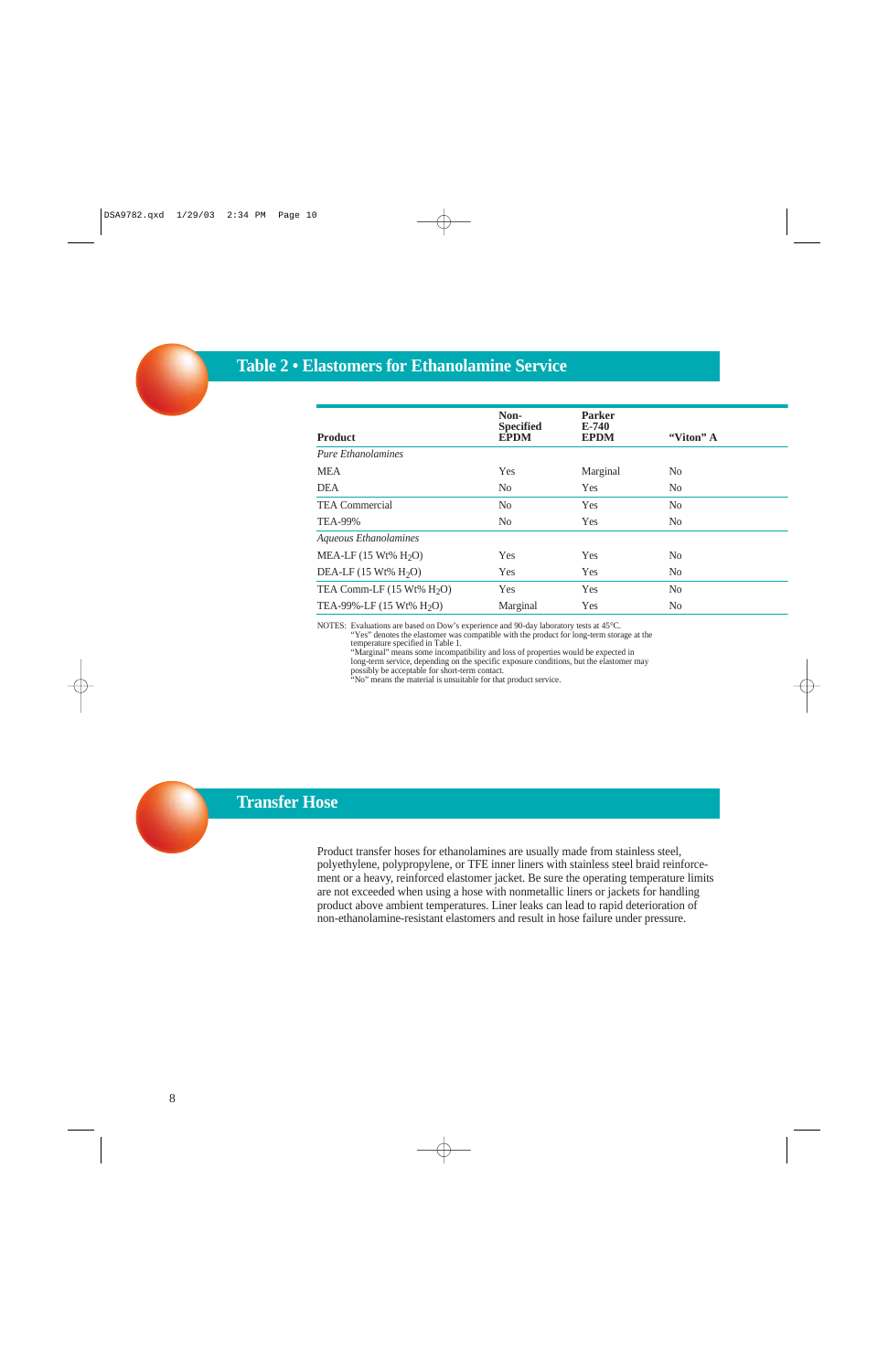# **Table 2 • Elastomers for Ethanolamine Service**

| <b>Product</b>                      | Non-<br><b>Specified</b><br><b>EPDM</b> | <b>Parker</b><br>$E-740$<br><b>EPDM</b> | "Viton" A      |  |
|-------------------------------------|-----------------------------------------|-----------------------------------------|----------------|--|
| <b>Pure Ethanolamines</b>           |                                         |                                         |                |  |
| <b>MEA</b>                          | Yes                                     | Marginal                                | N <sub>0</sub> |  |
| <b>DEA</b>                          | N <sub>0</sub>                          | <b>Yes</b>                              | N <sub>0</sub> |  |
| <b>TEA Commercial</b>               | N <sub>0</sub>                          | <b>Yes</b>                              | N <sub>0</sub> |  |
| <b>TEA-99%</b>                      | N <sub>0</sub>                          | <b>Yes</b>                              | N <sub>0</sub> |  |
| Aqueous Ethanolamines               |                                         |                                         |                |  |
| MEA-LF $(15 Wt\% H_2O)$             | Yes                                     | <b>Yes</b>                              | N <sub>0</sub> |  |
| DEA-LF $(15 Wt\% H2O)$              | Yes                                     | <b>Yes</b>                              | N <sub>0</sub> |  |
| TEA Comm-LF $(15 Wt\% H2O)$         | Yes                                     | <b>Yes</b>                              | N <sub>0</sub> |  |
| TEA-99%-LF $(15 \text{ Wt\% H}_2O)$ | Marginal                                | <b>Yes</b>                              | N <sub>0</sub> |  |
|                                     |                                         |                                         |                |  |

NOTES: Evaluations are based on Dow's experience and 90-day laboratory tests at 45°C.

"Yes" denotes the elastomer was compatible with the product for long-term storage at the temperature specified in Table 1.

"Marginal" means some incompatibility and loss of properties would be expected in

long-term service, depending on the specific exposure conditions, but the elastomer may

possibly be acceptable for short-term contact.

"No" means the material is unsuitable for that product service.

# **Transfer Hose**

Product transfer hoses for ethanolamines are usually made from stainless steel, polyethylene, polypropylene, or TFE inner liners with stainless steel braid reinforcement or a heavy, reinforced elastomer jacket. Be sure the operating temperature limits are not exceeded when using a hose with nonmetallic liners or jackets for handling product above ambient temperatures. Liner leaks can lead to rapid deterioration of non-ethanolamine-resistant elastomers and result in hose failure under pressure.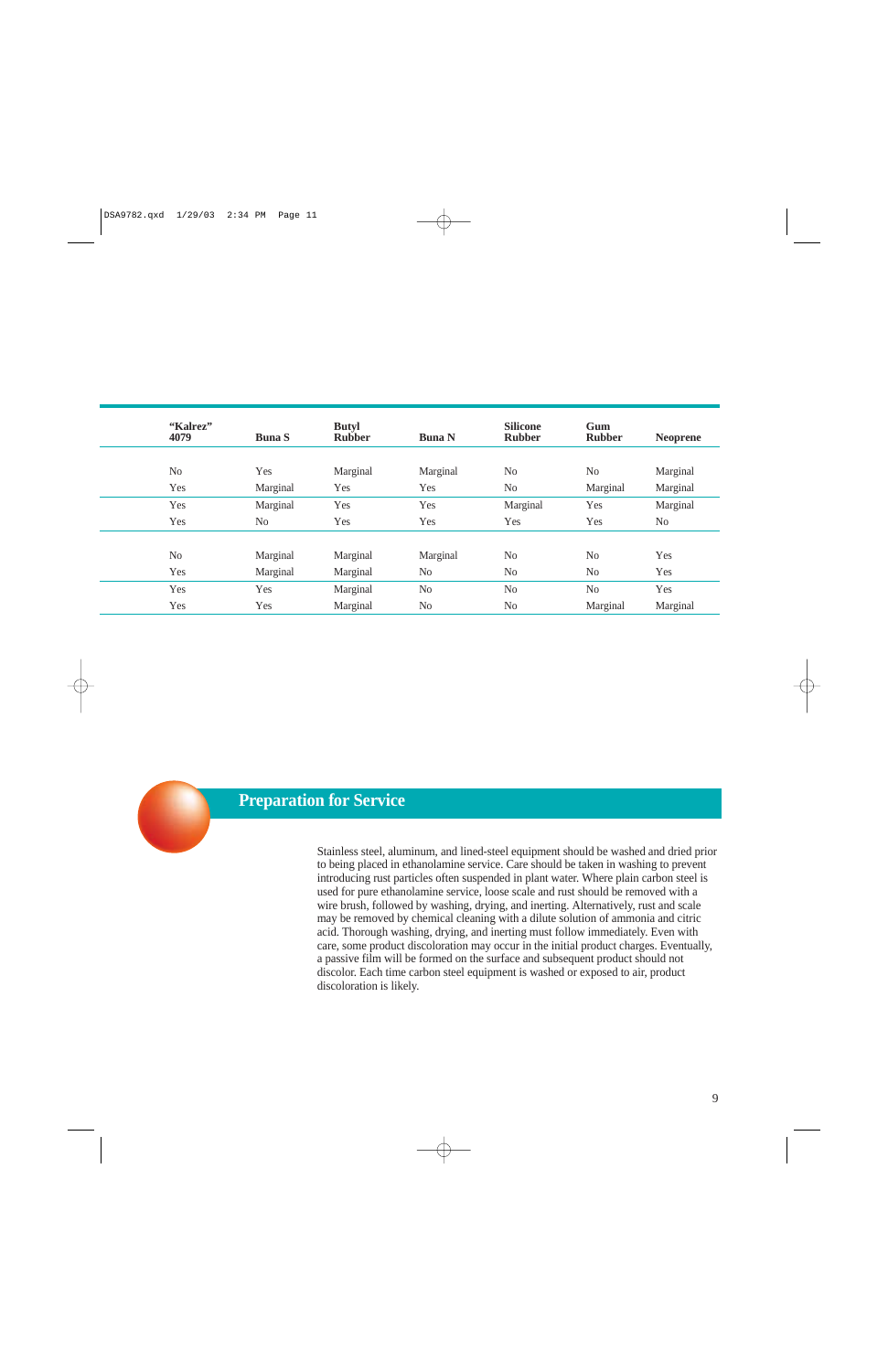| "Kalrez"<br>4079 | <b>Buna S</b>  | <b>Butyl</b><br><b>Rubber</b> | <b>Buna N</b>  | <b>Silicone</b><br><b>Rubber</b> | Gum<br><b>Rubber</b> | <b>Neoprene</b> |
|------------------|----------------|-------------------------------|----------------|----------------------------------|----------------------|-----------------|
|                  |                |                               |                |                                  |                      |                 |
| No               | Yes            | Marginal                      | Marginal       | N <sub>0</sub>                   | No                   | Marginal        |
| Yes              | Marginal       | Yes                           | Yes            | N <sub>0</sub>                   | Marginal             | Marginal        |
| Yes              | Marginal       | Yes                           | Yes            | Marginal                         | Yes                  | Marginal        |
| Yes              | N <sub>0</sub> | Yes                           | Yes            | Yes                              | Yes                  | No              |
|                  |                |                               |                |                                  |                      |                 |
| N <sub>o</sub>   | Marginal       | Marginal                      | Marginal       | N <sub>0</sub>                   | N <sub>o</sub>       | Yes             |
| Yes              | Marginal       | Marginal                      | N <sub>0</sub> | N <sub>0</sub>                   | N <sub>o</sub>       | Yes             |
| Yes              | Yes            | Marginal                      | N <sub>0</sub> | No                               | No                   | Yes             |
| Yes              | Yes            | Marginal                      | N <sub>0</sub> | N <sub>0</sub>                   | Marginal             | Marginal        |



# **Preparation for Service**

Stainless steel, aluminum, and lined-steel equipment should be washed and dried prior to being placed in ethanolamine service. Care should be taken in washing to prevent introducing rust particles often suspended in plant water. Where plain carbon steel is used for pure ethanolamine service, loose scale and rust should be removed with a wire brush, followed by washing, drying, and inerting. Alternatively, rust and scale may be removed by chemical cleaning with a dilute solution of ammonia and citric acid. Thorough washing, drying, and inerting must follow immediately. Even with care, some product discoloration may occur in the initial product charges. Eventually, a passive film will be formed on the surface and subsequent product should not discolor. Each time carbon steel equipment is washed or exposed to air, product discoloration is likely.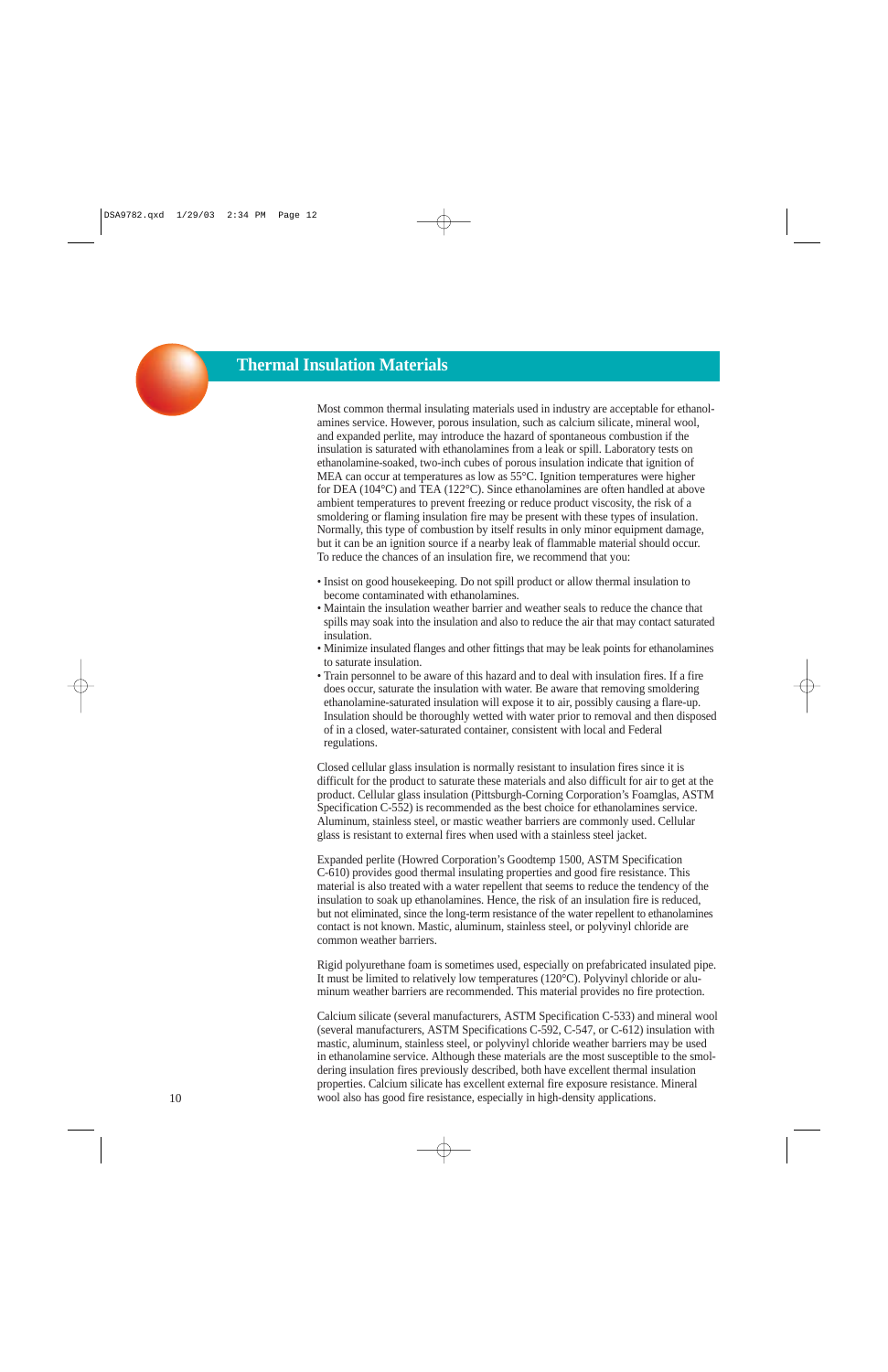# **Thermal Insulation Materials**

Most common thermal insulating materials used in industry are acceptable for ethanolamines service. However, porous insulation, such as calcium silicate, mineral wool, and expanded perlite, may introduce the hazard of spontaneous combustion if the insulation is saturated with ethanolamines from a leak or spill. Laboratory tests on ethanolamine-soaked, two-inch cubes of porous insulation indicate that ignition of MEA can occur at temperatures as low as 55°C. Ignition temperatures were higher for DEA (104°C) and TEA (122°C). Since ethanolamines are often handled at above ambient temperatures to prevent freezing or reduce product viscosity, the risk of a smoldering or flaming insulation fire may be present with these types of insulation. Normally, this type of combustion by itself results in only minor equipment damage, but it can be an ignition source if a nearby leak of flammable material should occur. To reduce the chances of an insulation fire, we recommend that you:

- Insist on good housekeeping. Do not spill product or allow thermal insulation to become contaminated with ethanolamines.
- Maintain the insulation weather barrier and weather seals to reduce the chance that spills may soak into the insulation and also to reduce the air that may contact saturated insulation.
- Minimize insulated flanges and other fittings that may be leak points for ethanolamines to saturate insulation.
- Train personnel to be aware of this hazard and to deal with insulation fires. If a fire does occur, saturate the insulation with water. Be aware that removing smoldering ethanolamine-saturated insulation will expose it to air, possibly causing a flare-up. Insulation should be thoroughly wetted with water prior to removal and then disposed of in a closed, water-saturated container, consistent with local and Federal regulations.

Closed cellular glass insulation is normally resistant to insulation fires since it is difficult for the product to saturate these materials and also difficult for air to get at the product. Cellular glass insulation (Pittsburgh-Corning Corporation's Foamglas, ASTM Specification C-552) is recommended as the best choice for ethanolamines service. Aluminum, stainless steel, or mastic weather barriers are commonly used. Cellular glass is resistant to external fires when used with a stainless steel jacket.

Expanded perlite (Howred Corporation's Goodtemp 1500, ASTM Specification C-610) provides good thermal insulating properties and good fire resistance. This material is also treated with a water repellent that seems to reduce the tendency of the insulation to soak up ethanolamines. Hence, the risk of an insulation fire is reduced, but not eliminated, since the long-term resistance of the water repellent to ethanolamines contact is not known. Mastic, aluminum, stainless steel, or polyvinyl chloride are common weather barriers.

Rigid polyurethane foam is sometimes used, especially on prefabricated insulated pipe. It must be limited to relatively low temperatures (120°C). Polyvinyl chloride or aluminum weather barriers are recommended. This material provides no fire protection.

Calcium silicate (several manufacturers, ASTM Specification C-533) and mineral wool (several manufacturers, ASTM Specifications C-592, C-547, or C-612) insulation with mastic, aluminum, stainless steel, or polyvinyl chloride weather barriers may be used in ethanolamine service. Although these materials are the most susceptible to the smoldering insulation fires previously described, both have excellent thermal insulation properties. Calcium silicate has excellent external fire exposure resistance. Mineral wool also has good fire resistance, especially in high-density applications.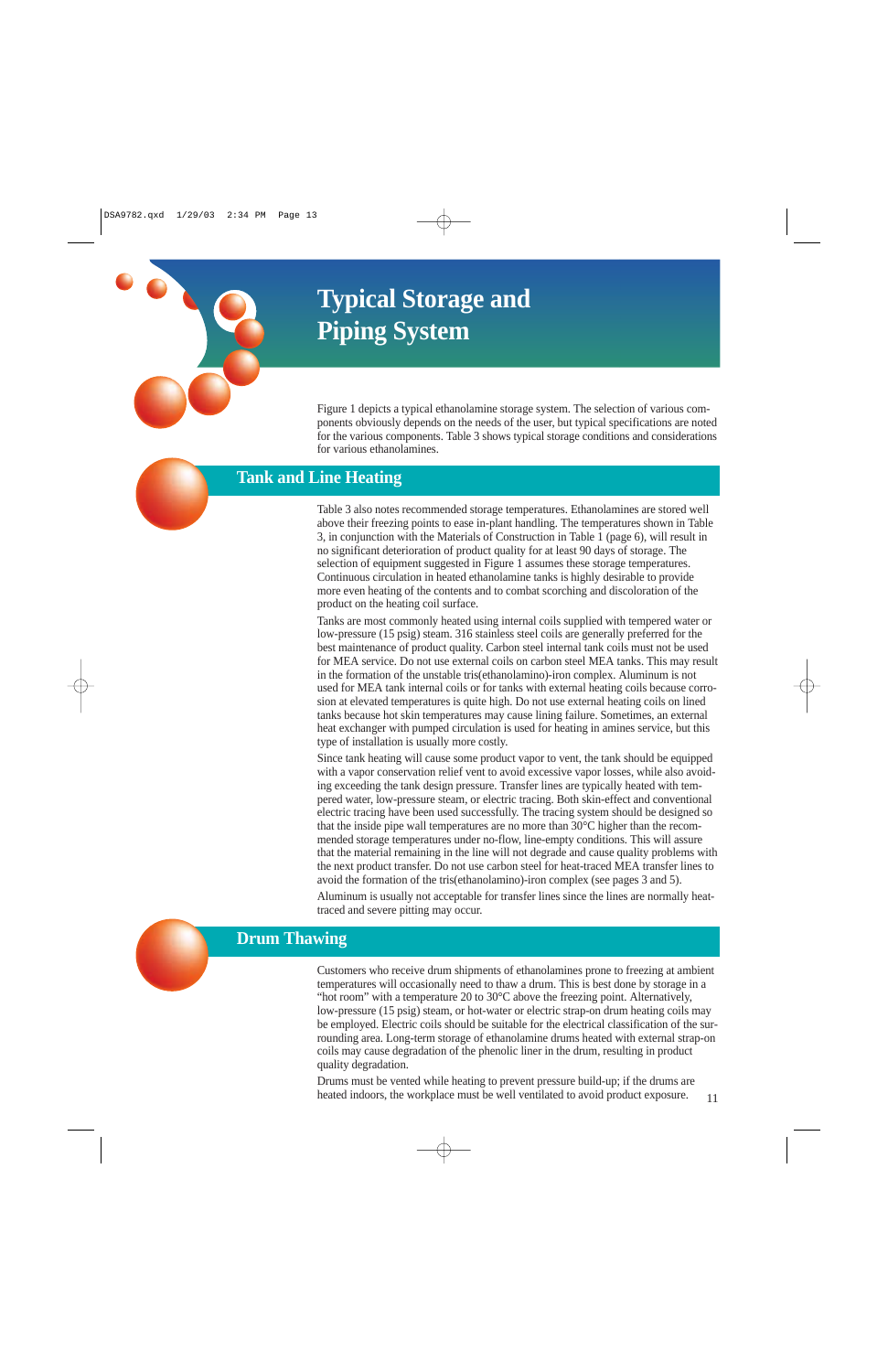# **Typical Storage and Piping System**

Figure 1 depicts a typical ethanolamine storage system. The selection of various components obviously depends on the needs of the user, but typical specifications are noted for the various components. Table 3 shows typical storage conditions and considerations for various ethanolamines.

# **Tank and Line Heating**

Table 3 also notes recommended storage temperatures. Ethanolamines are stored well above their freezing points to ease in-plant handling. The temperatures shown in Table 3, in conjunction with the Materials of Construction in Table 1 (page 6), will result in no significant deterioration of product quality for at least 90 days of storage. The selection of equipment suggested in Figure 1 assumes these storage temperatures. Continuous circulation in heated ethanolamine tanks is highly desirable to provide more even heating of the contents and to combat scorching and discoloration of the product on the heating coil surface.

Tanks are most commonly heated using internal coils supplied with tempered water or low-pressure (15 psig) steam. 316 stainless steel coils are generally preferred for the best maintenance of product quality. Carbon steel internal tank coils must not be used for MEA service. Do not use external coils on carbon steel MEA tanks. This may result in the formation of the unstable tris(ethanolamino)-iron complex. Aluminum is not used for MEA tank internal coils or for tanks with external heating coils because corrosion at elevated temperatures is quite high. Do not use external heating coils on lined tanks because hot skin temperatures may cause lining failure. Sometimes, an external heat exchanger with pumped circulation is used for heating in amines service, but this type of installation is usually more costly.

Since tank heating will cause some product vapor to vent, the tank should be equipped with a vapor conservation relief vent to avoid excessive vapor losses, while also avoiding exceeding the tank design pressure. Transfer lines are typically heated with tempered water, low-pressure steam, or electric tracing. Both skin-effect and conventional electric tracing have been used successfully. The tracing system should be designed so that the inside pipe wall temperatures are no more than 30°C higher than the recommended storage temperatures under no-flow, line-empty conditions. This will assure that the material remaining in the line will not degrade and cause quality problems with the next product transfer. Do not use carbon steel for heat-traced MEA transfer lines to avoid the formation of the tris(ethanolamino)-iron complex (see pages 3 and 5).

Aluminum is usually not acceptable for transfer lines since the lines are normally heattraced and severe pitting may occur.

## **Drum Thawing**

Customers who receive drum shipments of ethanolamines prone to freezing at ambient temperatures will occasionally need to thaw a drum. This is best done by storage in a "hot room" with a temperature 20 to 30°C above the freezing point. Alternatively, low-pressure (15 psig) steam, or hot-water or electric strap-on drum heating coils may be employed. Electric coils should be suitable for the electrical classification of the surrounding area. Long-term storage of ethanolamine drums heated with external strap-on coils may cause degradation of the phenolic liner in the drum, resulting in product quality degradation.

Drums must be vented while heating to prevent pressure build-up; if the drums are heated indoors, the workplace must be well ventilated to avoid product exposure. 11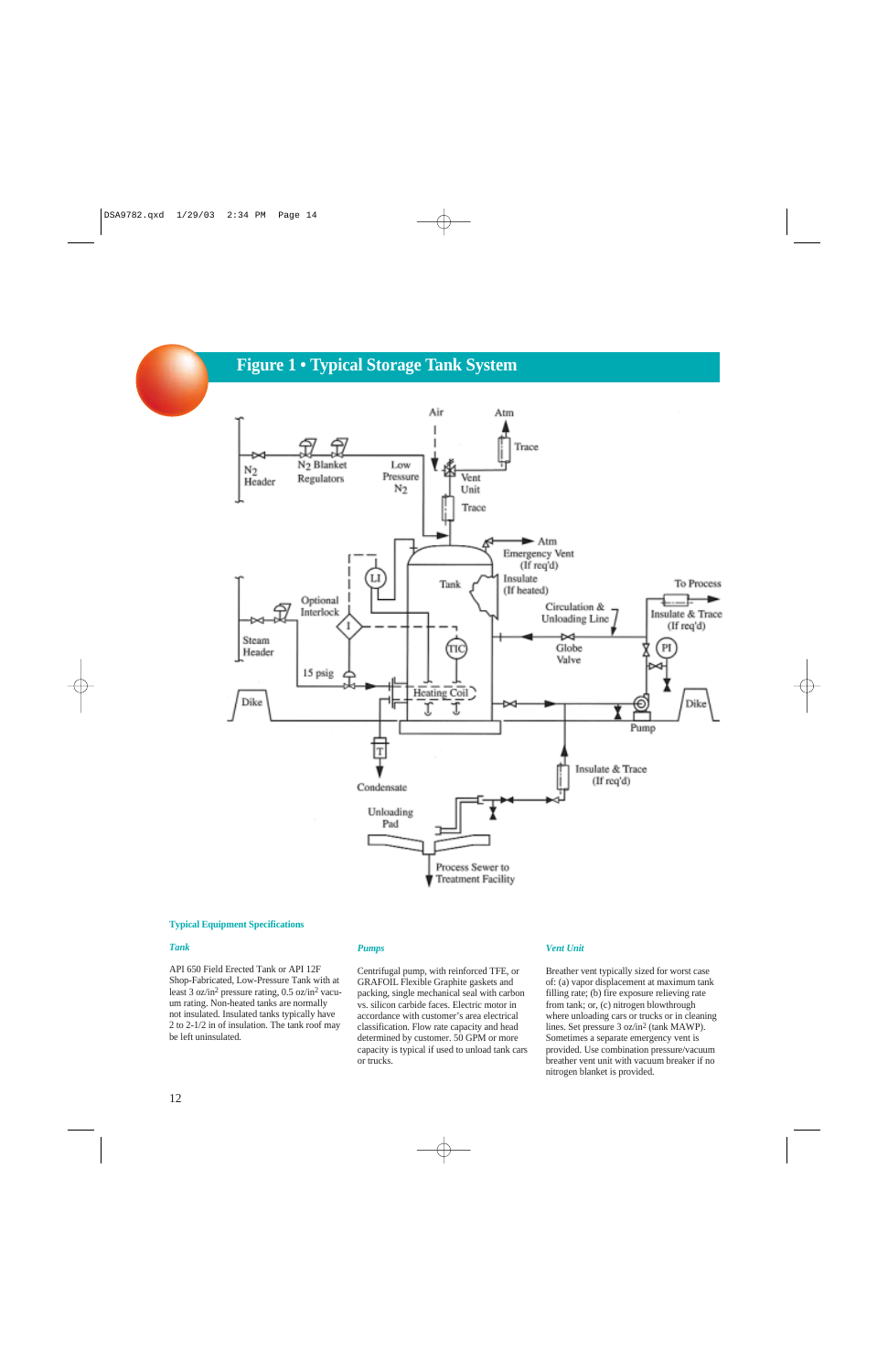# **Figure 1 • Typical Storage Tank System**



#### **Typical Equipment Specifications**

#### *Tank*

API 650 Field Erected Tank or API 12F Shop-Fabricated, Low-Pressure Tank with at least 3 oz/in2 pressure rating, 0.5 oz/in2 vacuum rating. Non-heated tanks are normally not insulated. Insulated tanks typically have 2 to 2-1/2 in of insulation. The tank roof may be left uninsulated.

#### *Pumps*

Centrifugal pump, with reinforced TFE, or GRAFOIL Flexible Graphite gaskets and packing, single mechanical seal with carbon vs. silicon carbide faces. Electric motor in accordance with customer's area electrical classification. Flow rate capacity and head determined by customer. 50 GPM or more capacity is typical if used to unload tank cars or trucks.

#### *Vent Unit*

Breather vent typically sized for worst case of: (a) vapor displacement at maximum tank filling rate; (b) fire exposure relieving rate from tank; or, (c) nitrogen blowthrough where unloading cars or trucks or in cleaning lines. Set pressure 3 oz/in2 (tank MAWP). Sometimes a separate emergency vent is provided. Use combination pressure/vacuum breather vent unit with vacuum breaker if no nitrogen blanket is provided.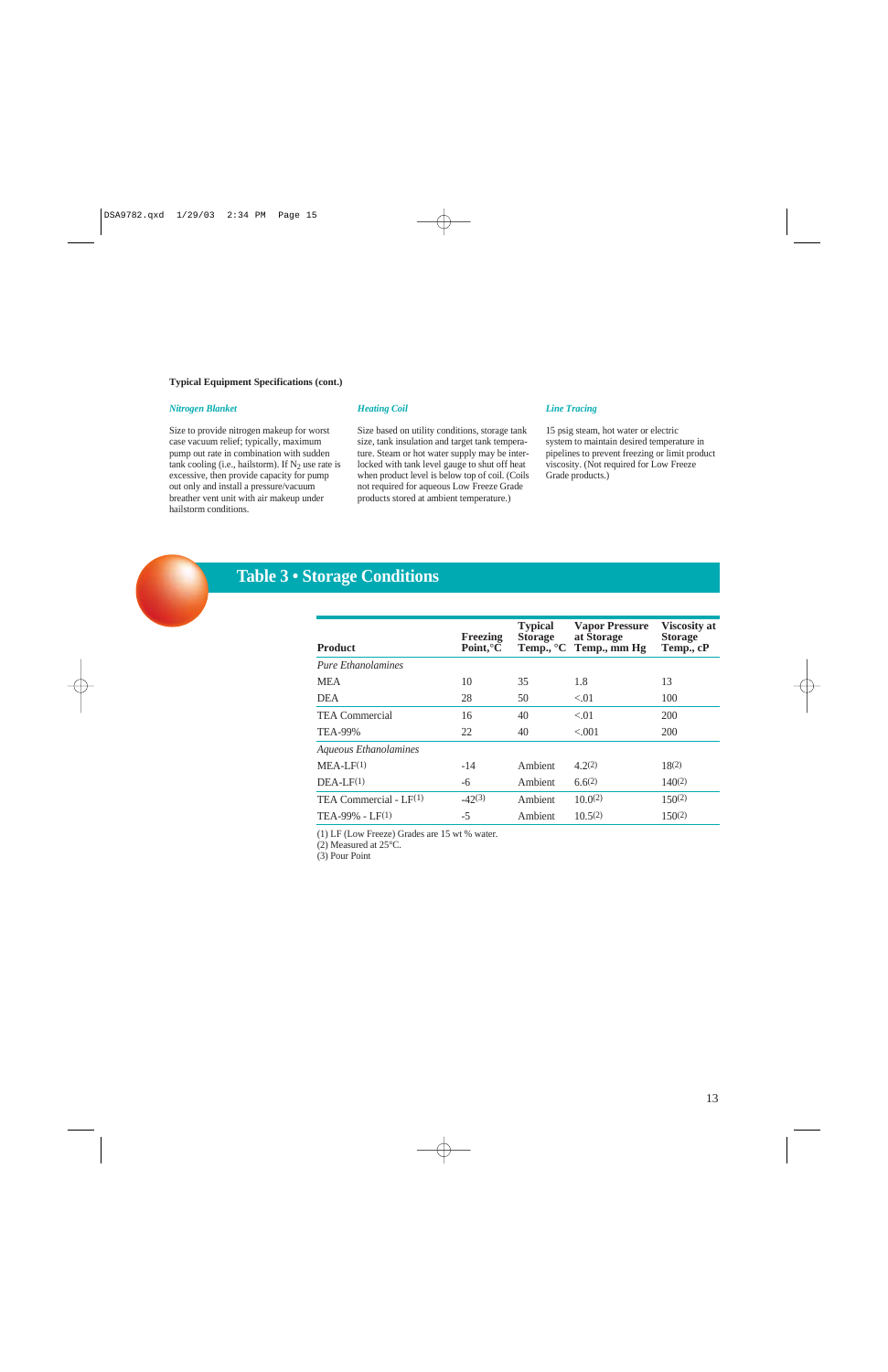#### **Typical Equipment Specifications (cont.)**

#### *Nitrogen Blanket*

Size to provide nitrogen makeup for worst case vacuum relief; typically, maximum pump out rate in combination with sudden tank cooling (i.e., hailstorm). If  $N_2$  use rate is excessive, then provide capacity for pump out only and install a pressure/vacuum breather vent unit with air makeup under hailstorm conditions.

#### *Heating Coil*

Size based on utility conditions, storage tank size, tank insulation and target tank temperature. Steam or hot water supply may be interlocked with tank level gauge to shut off heat when product level is below top of coil. (Coils not required for aqueous Low Freeze Grade products stored at ambient temperature.)

#### *Line Tracing*

15 psig steam, hot water or electric system to maintain desired temperature in pipelines to prevent freezing or limit product viscosity. (Not required for Low Freeze Grade products.)



# **Table 3 • Storage Conditions**

| <b>Product</b>            | Freezing<br>Point, ${}^{\circ}C$ | <b>Typical</b><br><b>Storage</b> | <b>Vapor Pressure</b><br>at Storage<br>Temp., °C Temp., mm Hg | <b>Viscosity at</b><br><b>Storage</b><br>Temp., cP |
|---------------------------|----------------------------------|----------------------------------|---------------------------------------------------------------|----------------------------------------------------|
| <b>Pure Ethanolamines</b> |                                  |                                  |                                                               |                                                    |
| <b>MEA</b>                | 10                               | 35                               | 1.8                                                           | 13                                                 |
| <b>DEA</b>                | 28                               | 50                               | < 01                                                          | 100                                                |
| <b>TEA Commercial</b>     | 16                               | 40                               | < 0.01                                                        | 200                                                |
| TEA-99%                   | 22                               | 40                               | < 0.01                                                        | <b>200</b>                                         |
| Aqueous Ethanolamines     |                                  |                                  |                                                               |                                                    |
| $MEA-LF(1)$               | $-14$                            | Ambient                          | 4.2(2)                                                        | 18(2)                                              |
| $DEA-LF(1)$               | -6                               | Ambient                          | 6.6(2)                                                        | $140^{(2)}$                                        |
| TEA Commercial - $LF(1)$  | $-42(3)$                         | Ambient                          | 10.0(2)                                                       | $150^{(2)}$                                        |
| $TEA-99\% - LF(1)$        | $-5$                             | Ambient                          | 10.5(2)                                                       | $150^{(2)}$                                        |
|                           |                                  |                                  |                                                               |                                                    |

(1) LF (Low Freeze) Grades are 15 wt % water.

(2) Measured at 25°C.

(3) Pour Point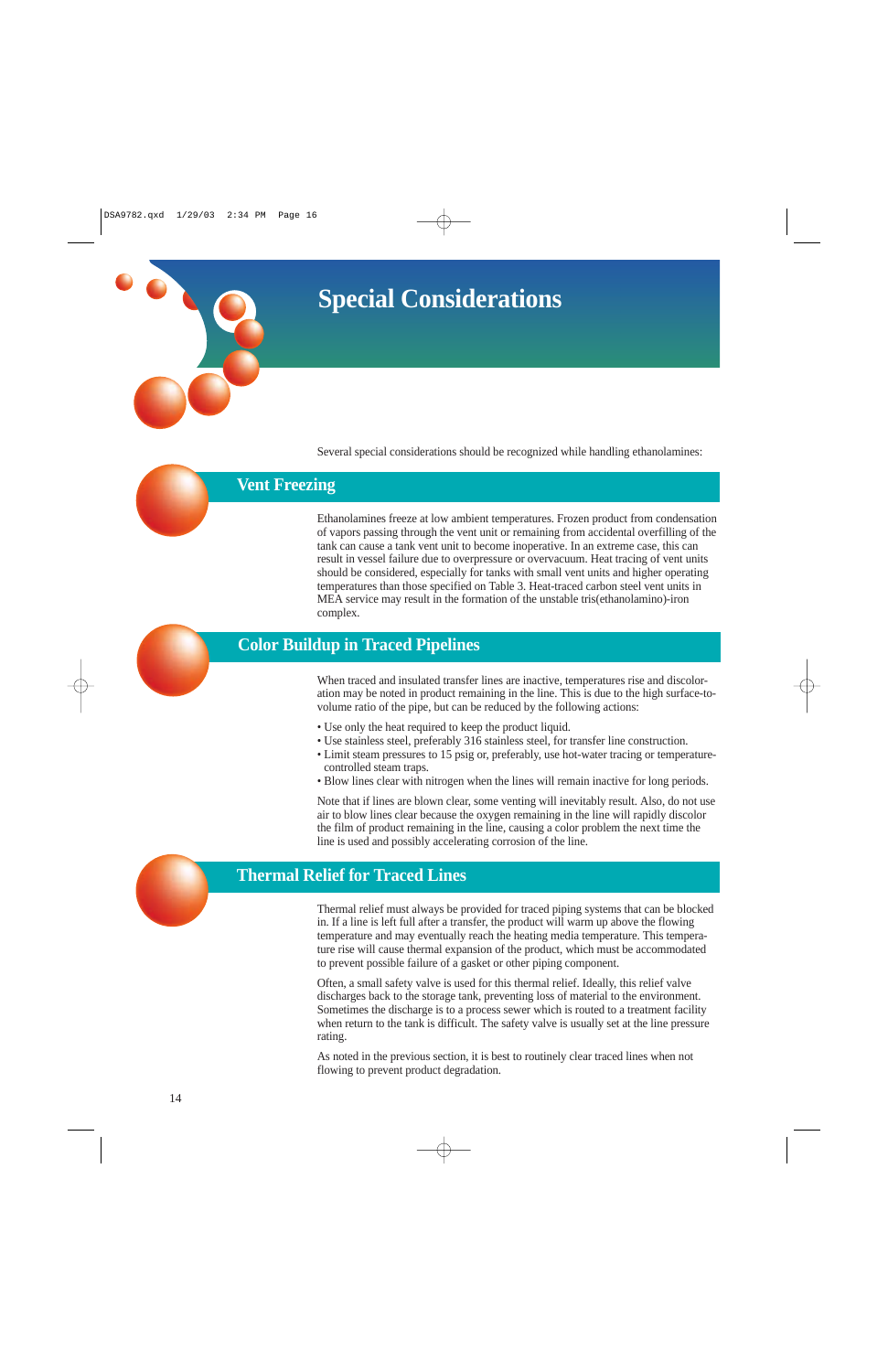**Special Considerations**

Several special considerations should be recognized while handling ethanolamines:

# **Vent Freezing**

Ethanolamines freeze at low ambient temperatures. Frozen product from condensation of vapors passing through the vent unit or remaining from accidental overfilling of the tank can cause a tank vent unit to become inoperative. In an extreme case, this can result in vessel failure due to overpressure or overvacuum. Heat tracing of vent units should be considered, especially for tanks with small vent units and higher operating temperatures than those specified on Table 3. Heat-traced carbon steel vent units in MEA service may result in the formation of the unstable tris(ethanolamino)-iron complex.



## **Color Buildup in Traced Pipelines**

When traced and insulated transfer lines are inactive, temperatures rise and discoloration may be noted in product remaining in the line. This is due to the high surface-tovolume ratio of the pipe, but can be reduced by the following actions:

- Use only the heat required to keep the product liquid.
- Use stainless steel, preferably 316 stainless steel, for transfer line construction.
- Limit steam pressures to 15 psig or, preferably, use hot-water tracing or temperaturecontrolled steam traps.
- Blow lines clear with nitrogen when the lines will remain inactive for long periods.

Note that if lines are blown clear, some venting will inevitably result. Also, do not use air to blow lines clear because the oxygen remaining in the line will rapidly discolor the film of product remaining in the line, causing a color problem the next time the line is used and possibly accelerating corrosion of the line.



# **Thermal Relief for Traced Lines**

Thermal relief must always be provided for traced piping systems that can be blocked in. If a line is left full after a transfer, the product will warm up above the flowing temperature and may eventually reach the heating media temperature. This temperature rise will cause thermal expansion of the product, which must be accommodated to prevent possible failure of a gasket or other piping component.

Often, a small safety valve is used for this thermal relief. Ideally, this relief valve discharges back to the storage tank, preventing loss of material to the environment. Sometimes the discharge is to a process sewer which is routed to a treatment facility when return to the tank is difficult. The safety valve is usually set at the line pressure rating.

As noted in the previous section, it is best to routinely clear traced lines when not flowing to prevent product degradation.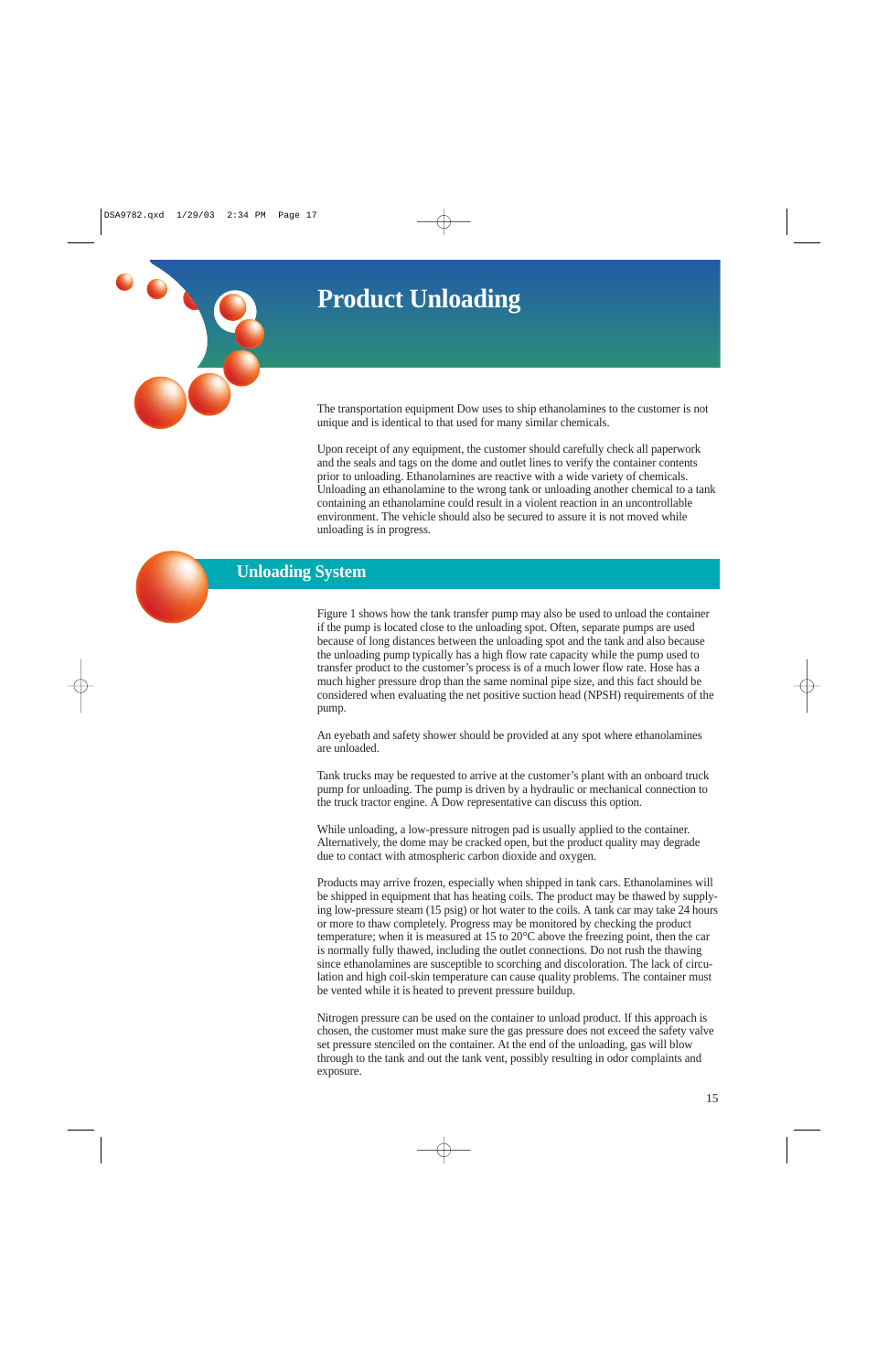# **Product Unloading**



The transportation equipment Dow uses to ship ethanolamines to the customer is not unique and is identical to that used for many similar chemicals.

Upon receipt of any equipment, the customer should carefully check all paperwork and the seals and tags on the dome and outlet lines to verify the container contents prior to unloading. Ethanolamines are reactive with a wide variety of chemicals. Unloading an ethanolamine to the wrong tank or unloading another chemical to a tank containing an ethanolamine could result in a violent reaction in an uncontrollable environment. The vehicle should also be secured to assure it is not moved while unloading is in progress.



# **Unloading System**

Figure 1 shows how the tank transfer pump may also be used to unload the container if the pump is located close to the unloading spot. Often, separate pumps are used because of long distances between the unloading spot and the tank and also because the unloading pump typically has a high flow rate capacity while the pump used to transfer product to the customer's process is of a much lower flow rate. Hose has a much higher pressure drop than the same nominal pipe size, and this fact should be considered when evaluating the net positive suction head (NPSH) requirements of the pump.

An eyebath and safety shower should be provided at any spot where ethanolamines are unloaded.

Tank trucks may be requested to arrive at the customer's plant with an onboard truck pump for unloading. The pump is driven by a hydraulic or mechanical connection to the truck tractor engine. A Dow representative can discuss this option.

While unloading, a low-pressure nitrogen pad is usually applied to the container. Alternatively, the dome may be cracked open, but the product quality may degrade due to contact with atmospheric carbon dioxide and oxygen.

Products may arrive frozen, especially when shipped in tank cars. Ethanolamines will be shipped in equipment that has heating coils. The product may be thawed by supplying low-pressure steam (15 psig) or hot water to the coils. A tank car may take 24 hours or more to thaw completely. Progress may be monitored by checking the product temperature; when it is measured at 15 to  $20^{\circ}$ C above the freezing point, then the car is normally fully thawed, including the outlet connections. Do not rush the thawing since ethanolamines are susceptible to scorching and discoloration. The lack of circulation and high coil-skin temperature can cause quality problems. The container must be vented while it is heated to prevent pressure buildup.

Nitrogen pressure can be used on the container to unload product. If this approach is chosen, the customer must make sure the gas pressure does not exceed the safety valve set pressure stenciled on the container. At the end of the unloading, gas will blow through to the tank and out the tank vent, possibly resulting in odor complaints and exposure.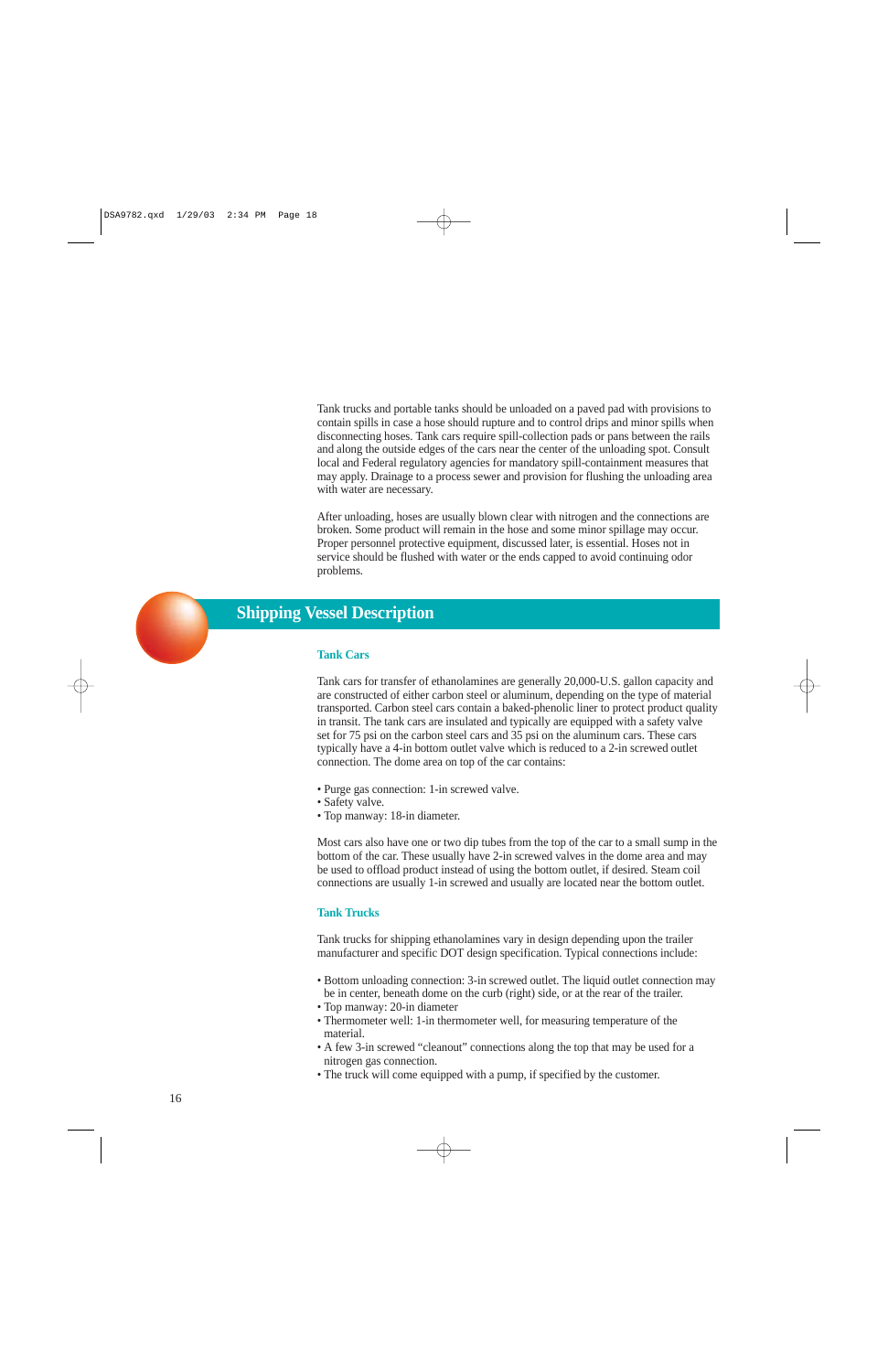Tank trucks and portable tanks should be unloaded on a paved pad with provisions to contain spills in case a hose should rupture and to control drips and minor spills when disconnecting hoses. Tank cars require spill-collection pads or pans between the rails and along the outside edges of the cars near the center of the unloading spot. Consult local and Federal regulatory agencies for mandatory spill-containment measures that may apply. Drainage to a process sewer and provision for flushing the unloading area with water are necessary.

After unloading, hoses are usually blown clear with nitrogen and the connections are broken. Some product will remain in the hose and some minor spillage may occur. Proper personnel protective equipment, discussed later, is essential. Hoses not in service should be flushed with water or the ends capped to avoid continuing odor problems.



## **Shipping Vessel Description**

#### **Tank Cars**

Tank cars for transfer of ethanolamines are generally 20,000-U.S. gallon capacity and are constructed of either carbon steel or aluminum, depending on the type of material transported. Carbon steel cars contain a baked-phenolic liner to protect product quality in transit. The tank cars are insulated and typically are equipped with a safety valve set for 75 psi on the carbon steel cars and 35 psi on the aluminum cars. These cars typically have a 4-in bottom outlet valve which is reduced to a 2-in screwed outlet connection. The dome area on top of the car contains:

- Purge gas connection: 1-in screwed valve.
- Safety valve.
- Top manway: 18-in diameter.

Most cars also have one or two dip tubes from the top of the car to a small sump in the bottom of the car. These usually have 2-in screwed valves in the dome area and may be used to offload product instead of using the bottom outlet, if desired. Steam coil connections are usually 1-in screwed and usually are located near the bottom outlet.

#### **Tank Trucks**

Tank trucks for shipping ethanolamines vary in design depending upon the trailer manufacturer and specific DOT design specification. Typical connections include:

- Bottom unloading connection: 3-in screwed outlet. The liquid outlet connection may be in center, beneath dome on the curb (right) side, or at the rear of the trailer.
- Top manway: 20-in diameter
- Thermometer well: 1-in thermometer well, for measuring temperature of the material.
- A few 3-in screwed "cleanout" connections along the top that may be used for a nitrogen gas connection.
- The truck will come equipped with a pump, if specified by the customer.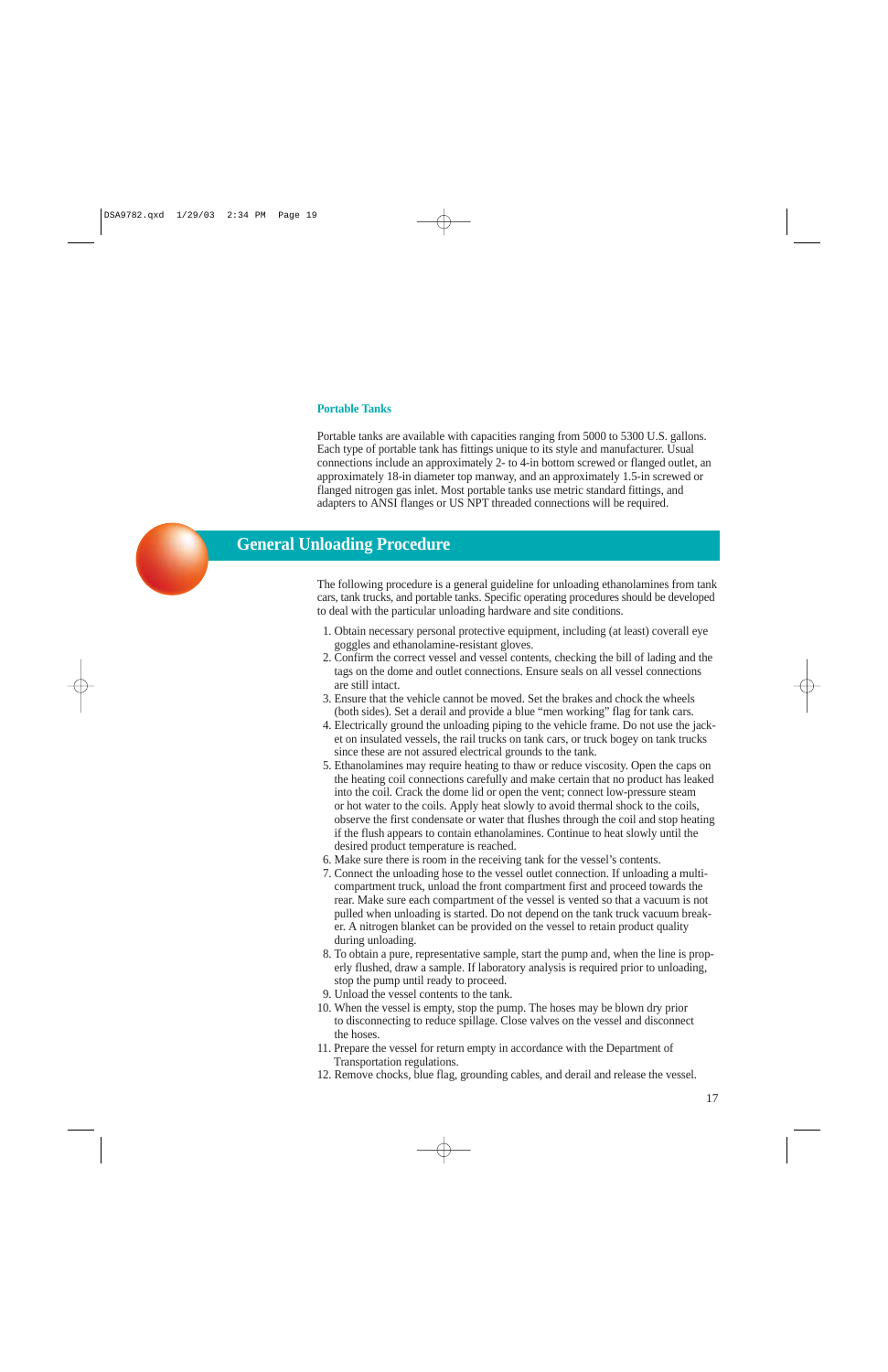#### **Portable Tanks**

Portable tanks are available with capacities ranging from 5000 to 5300 U.S. gallons. Each type of portable tank has fittings unique to its style and manufacturer. Usual connections include an approximately 2- to 4-in bottom screwed or flanged outlet, an approximately 18-in diameter top manway, and an approximately 1.5-in screwed or flanged nitrogen gas inlet. Most portable tanks use metric standard fittings, and adapters to ANSI flanges or US NPT threaded connections will be required.



## **General Unloading Procedure**

The following procedure is a general guideline for unloading ethanolamines from tank cars, tank trucks, and portable tanks. Specific operating procedures should be developed to deal with the particular unloading hardware and site conditions.

- 1. Obtain necessary personal protective equipment, including (at least) coverall eye goggles and ethanolamine-resistant gloves.
- 2. Confirm the correct vessel and vessel contents, checking the bill of lading and the tags on the dome and outlet connections. Ensure seals on all vessel connections are still intact.
- 3. Ensure that the vehicle cannot be moved. Set the brakes and chock the wheels (both sides). Set a derail and provide a blue "men working" flag for tank cars.
- 4. Electrically ground the unloading piping to the vehicle frame. Do not use the jacket on insulated vessels, the rail trucks on tank cars, or truck bogey on tank trucks since these are not assured electrical grounds to the tank.
- 5. Ethanolamines may require heating to thaw or reduce viscosity. Open the caps on the heating coil connections carefully and make certain that no product has leaked into the coil. Crack the dome lid or open the vent; connect low-pressure steam or hot water to the coils. Apply heat slowly to avoid thermal shock to the coils, observe the first condensate or water that flushes through the coil and stop heating if the flush appears to contain ethanolamines. Continue to heat slowly until the desired product temperature is reached.
- 6. Make sure there is room in the receiving tank for the vessel's contents.
- 7. Connect the unloading hose to the vessel outlet connection. If unloading a multicompartment truck, unload the front compartment first and proceed towards the rear. Make sure each compartment of the vessel is vented so that a vacuum is not pulled when unloading is started. Do not depend on the tank truck vacuum breaker. A nitrogen blanket can be provided on the vessel to retain product quality during unloading.
- 8. To obtain a pure, representative sample, start the pump and, when the line is properly flushed, draw a sample. If laboratory analysis is required prior to unloading, stop the pump until ready to proceed.
- 9. Unload the vessel contents to the tank.
- 10. When the vessel is empty, stop the pump. The hoses may be blown dry prior to disconnecting to reduce spillage. Close valves on the vessel and disconnect the hoses.
- 11. Prepare the vessel for return empty in accordance with the Department of Transportation regulations.
- 12. Remove chocks, blue flag, grounding cables, and derail and release the vessel.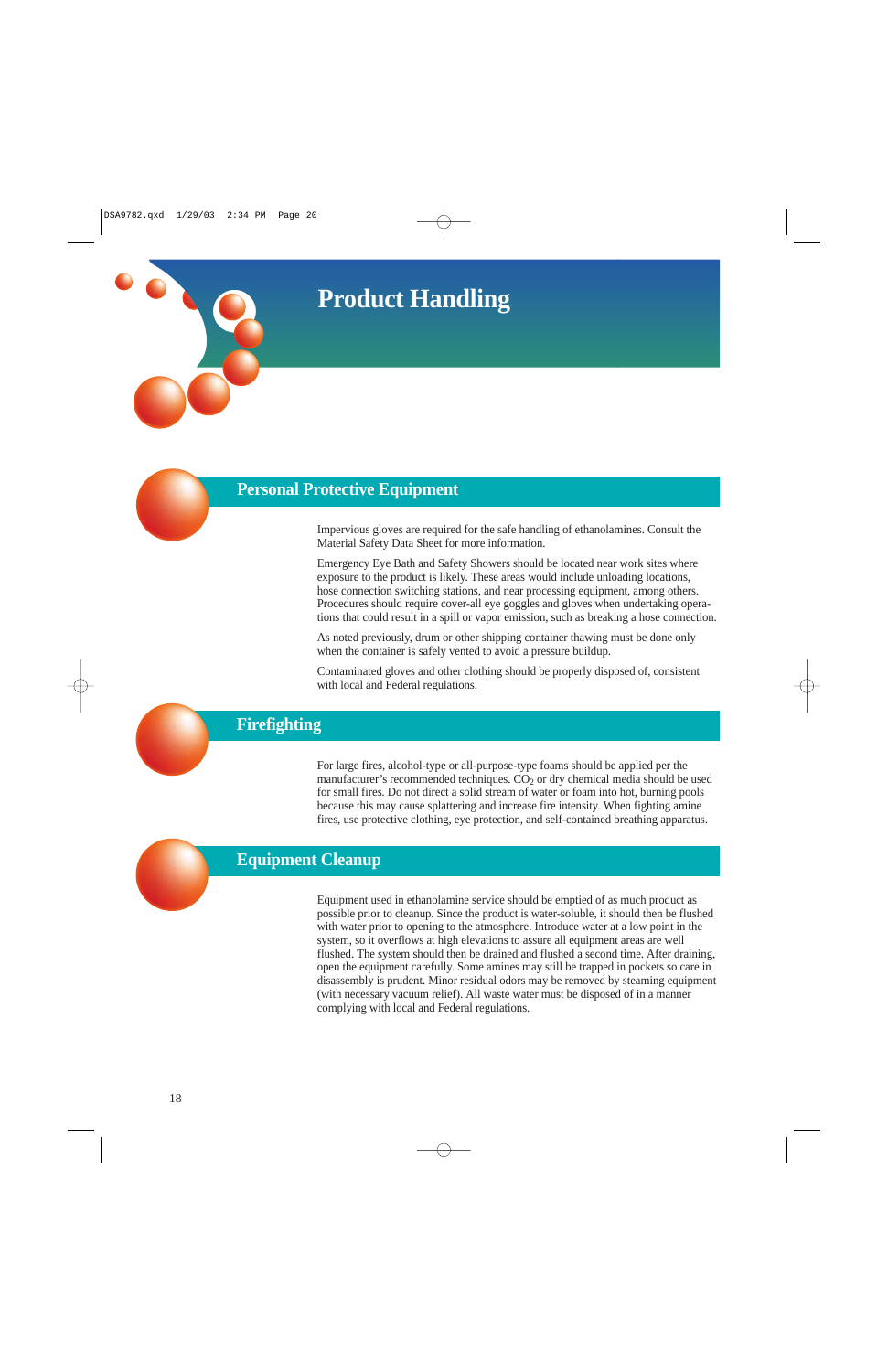**Product Handling**

## **Personal Protective Equipment**

Impervious gloves are required for the safe handling of ethanolamines. Consult the Material Safety Data Sheet for more information.

Emergency Eye Bath and Safety Showers should be located near work sites where exposure to the product is likely. These areas would include unloading locations, hose connection switching stations, and near processing equipment, among others. Procedures should require cover-all eye goggles and gloves when undertaking operations that could result in a spill or vapor emission, such as breaking a hose connection.

As noted previously, drum or other shipping container thawing must be done only when the container is safely vented to avoid a pressure buildup.

Contaminated gloves and other clothing should be properly disposed of, consistent with local and Federal regulations.

# **Firefighting**

For large fires, alcohol-type or all-purpose-type foams should be applied per the manufacturer's recommended techniques.  $CO<sub>2</sub>$  or dry chemical media should be used for small fires. Do not direct a solid stream of water or foam into hot, burning pools because this may cause splattering and increase fire intensity. When fighting amine fires, use protective clothing, eye protection, and self-contained breathing apparatus.



# **Equipment Cleanup**

Equipment used in ethanolamine service should be emptied of as much product as possible prior to cleanup. Since the product is water-soluble, it should then be flushed with water prior to opening to the atmosphere. Introduce water at a low point in the system, so it overflows at high elevations to assure all equipment areas are well flushed. The system should then be drained and flushed a second time. After draining, open the equipment carefully. Some amines may still be trapped in pockets so care in disassembly is prudent. Minor residual odors may be removed by steaming equipment (with necessary vacuum relief). All waste water must be disposed of in a manner complying with local and Federal regulations.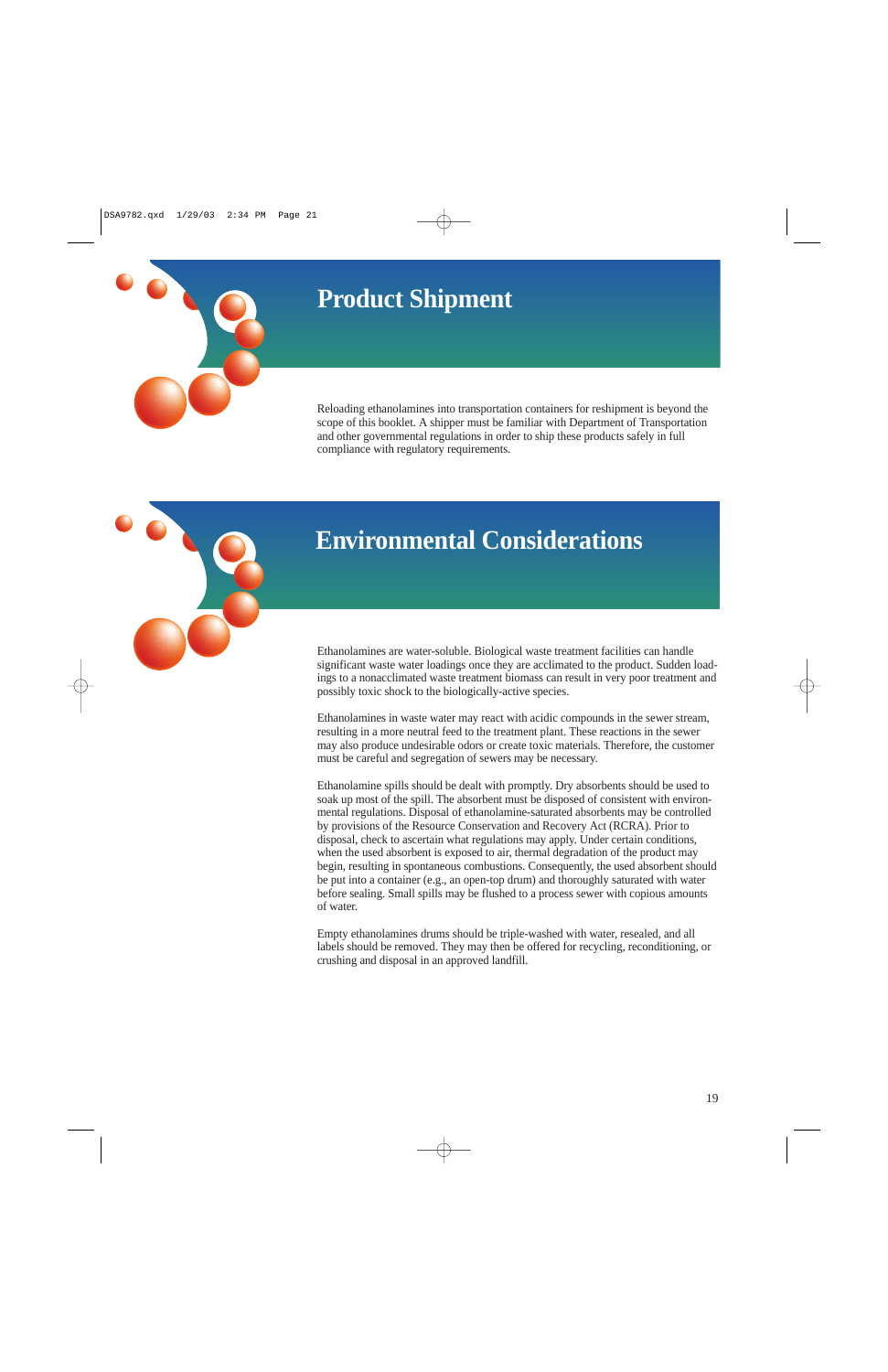# **Product Shipment**

Reloading ethanolamines into transportation containers for reshipment is beyond the scope of this booklet. A shipper must be familiar with Department of Transportation and other governmental regulations in order to ship these products safely in full compliance with regulatory requirements.



# **Environmental Considerations**

Ethanolamines are water-soluble. Biological waste treatment facilities can handle significant waste water loadings once they are acclimated to the product. Sudden loadings to a nonacclimated waste treatment biomass can result in very poor treatment and possibly toxic shock to the biologically-active species.

Ethanolamines in waste water may react with acidic compounds in the sewer stream, resulting in a more neutral feed to the treatment plant. These reactions in the sewer may also produce undesirable odors or create toxic materials. Therefore, the customer must be careful and segregation of sewers may be necessary.

Ethanolamine spills should be dealt with promptly. Dry absorbents should be used to soak up most of the spill. The absorbent must be disposed of consistent with environmental regulations. Disposal of ethanolamine-saturated absorbents may be controlled by provisions of the Resource Conservation and Recovery Act (RCRA). Prior to disposal, check to ascertain what regulations may apply. Under certain conditions, when the used absorbent is exposed to air, thermal degradation of the product may begin, resulting in spontaneous combustions. Consequently, the used absorbent should be put into a container (e.g., an open-top drum) and thoroughly saturated with water before sealing. Small spills may be flushed to a process sewer with copious amounts of water.

Empty ethanolamines drums should be triple-washed with water, resealed, and all labels should be removed. They may then be offered for recycling, reconditioning, or crushing and disposal in an approved landfill.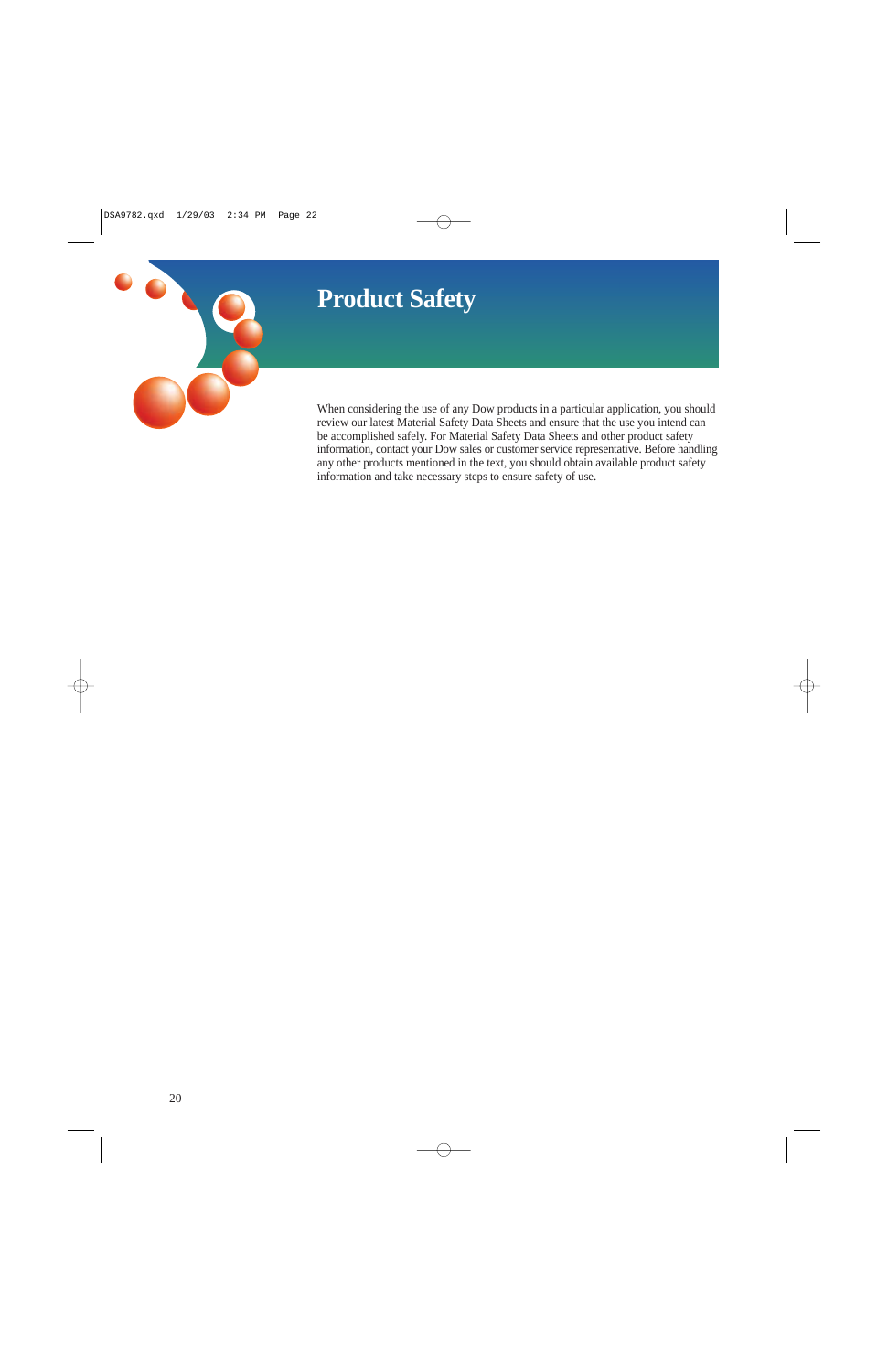# **Product Safety**



When considering the use of any Dow products in a particular application, you should review our latest Material Safety Data Sheets and ensure that the use you intend can be accomplished safely. For Material Safety Data Sheets and other product safety information, contact your Dow sales or customer service representative. Before handling any other products mentioned in the text, you should obtain available product safety information and take necessary steps to ensure safety of use.